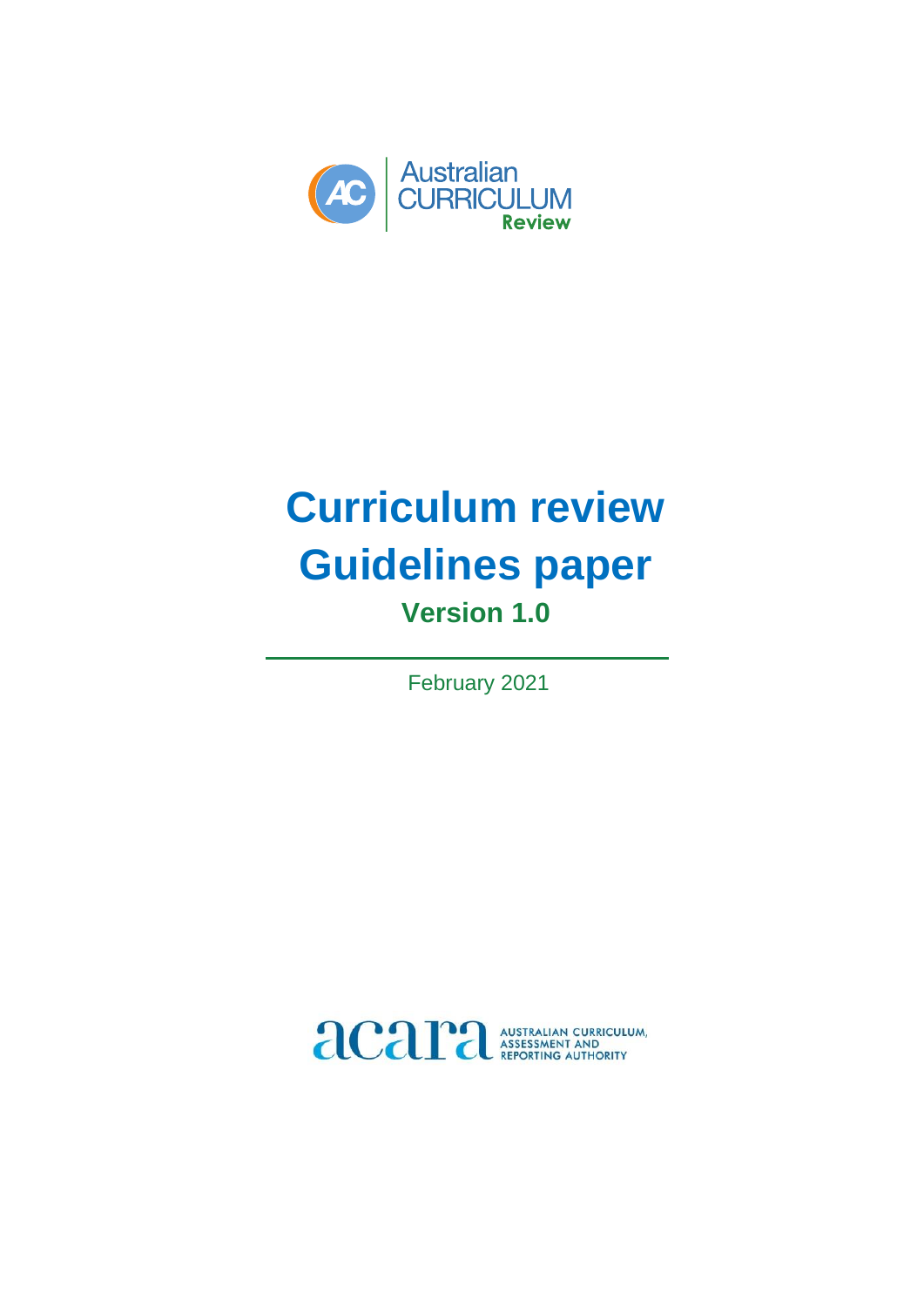

# **Curriculum review Guidelines paper Version 1.0**

February 2021

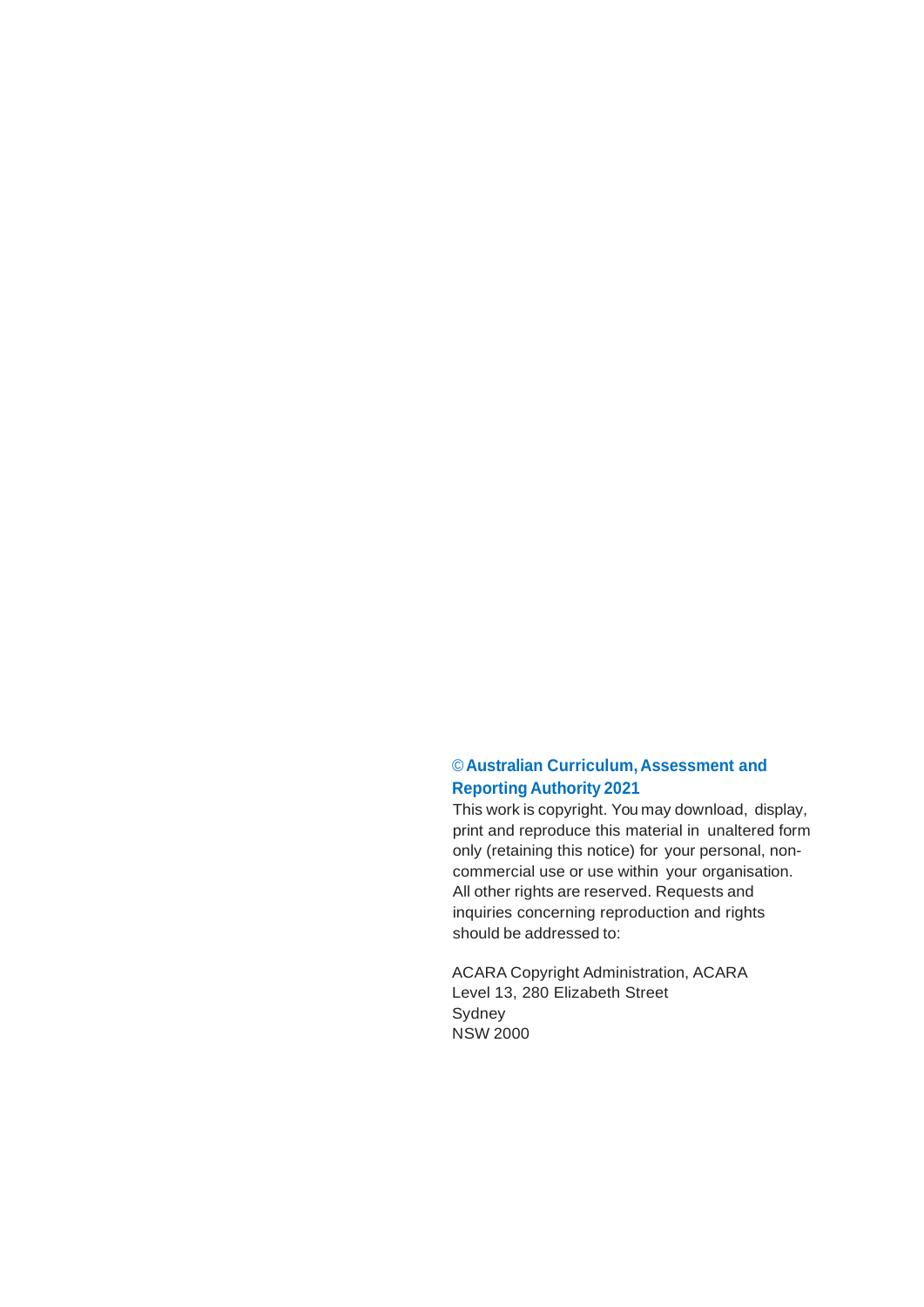#### ©**Australian Curriculum, Assessment and Reporting Authority 2021**

This work is copyright. You may download, display, print and reproduce this material in unaltered form only (retaining this notice) for your personal, noncommercial use or use within your organisation. All other rights are reserved. Requests and inquiries concerning reproduction and rights should be addressed to:

ACARA Copyright Administration, ACARA Level 13, 280 Elizabeth Street Sydney NSW 2000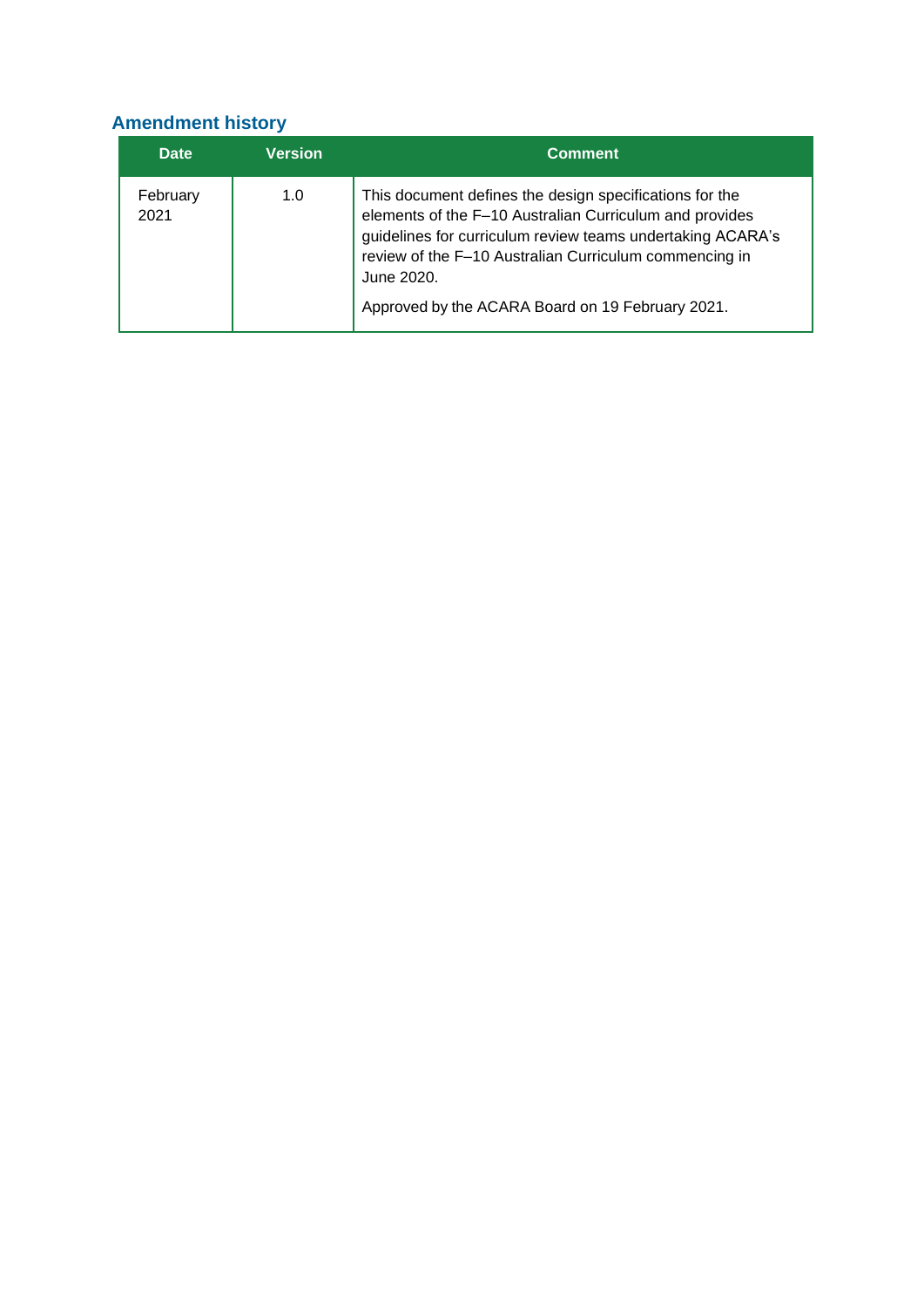# **Amendment history**

| <b>Date</b>      | <b>Version</b> | <b>Comment</b>                                                                                                                                                                                                                                                                                               |
|------------------|----------------|--------------------------------------------------------------------------------------------------------------------------------------------------------------------------------------------------------------------------------------------------------------------------------------------------------------|
| February<br>2021 | 1.0            | This document defines the design specifications for the<br>elements of the F-10 Australian Curriculum and provides<br>guidelines for curriculum review teams undertaking ACARA's<br>review of the F-10 Australian Curriculum commencing in<br>June 2020.<br>Approved by the ACARA Board on 19 February 2021. |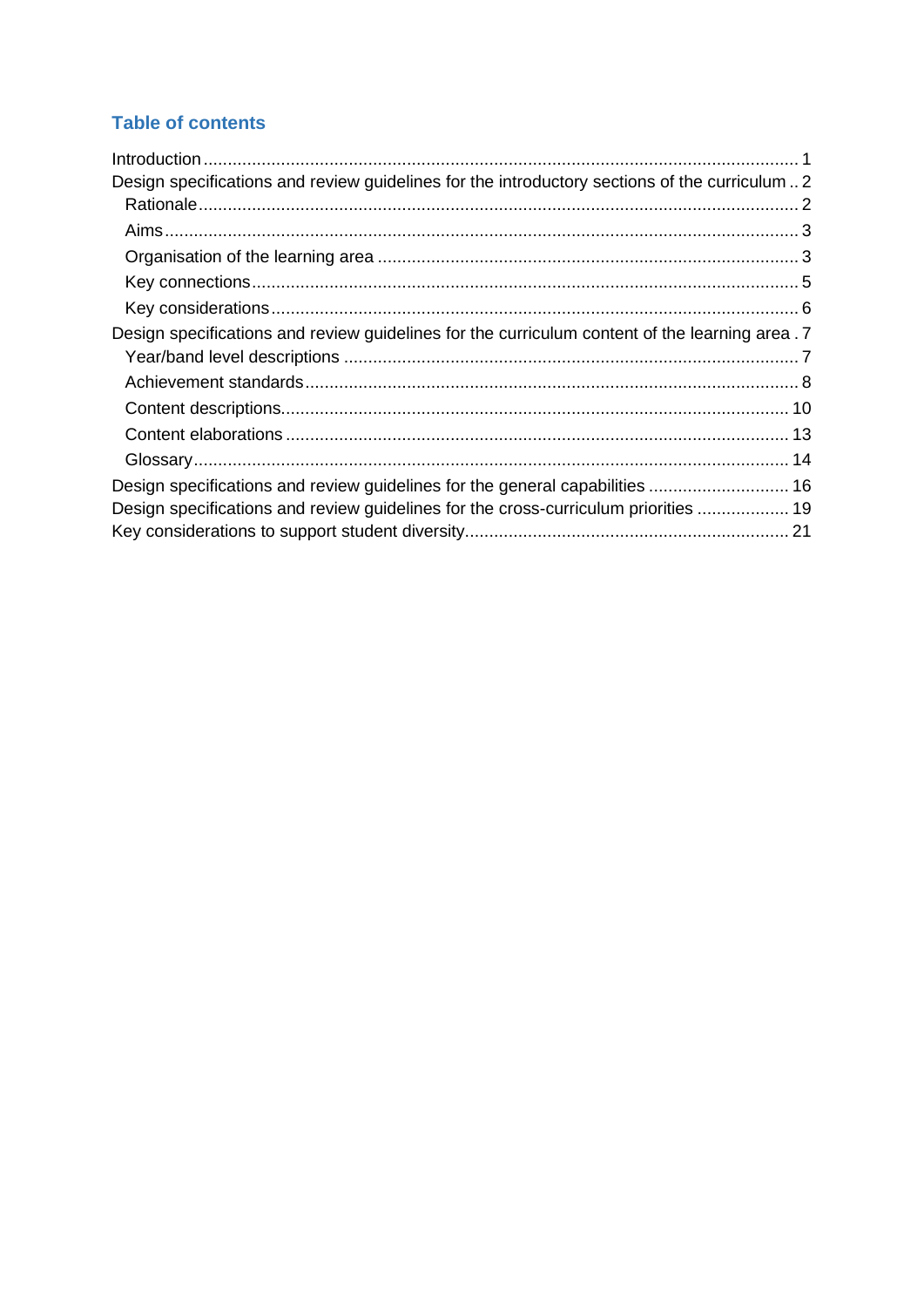# **Table of contents**

| Design specifications and review guidelines for the introductory sections of the curriculum2   |  |
|------------------------------------------------------------------------------------------------|--|
|                                                                                                |  |
|                                                                                                |  |
|                                                                                                |  |
|                                                                                                |  |
|                                                                                                |  |
| Design specifications and review guidelines for the curriculum content of the learning area. 7 |  |
|                                                                                                |  |
|                                                                                                |  |
|                                                                                                |  |
|                                                                                                |  |
|                                                                                                |  |
| Design specifications and review guidelines for the general capabilities  16                   |  |
| Design specifications and review guidelines for the cross-curriculum priorities  19            |  |
|                                                                                                |  |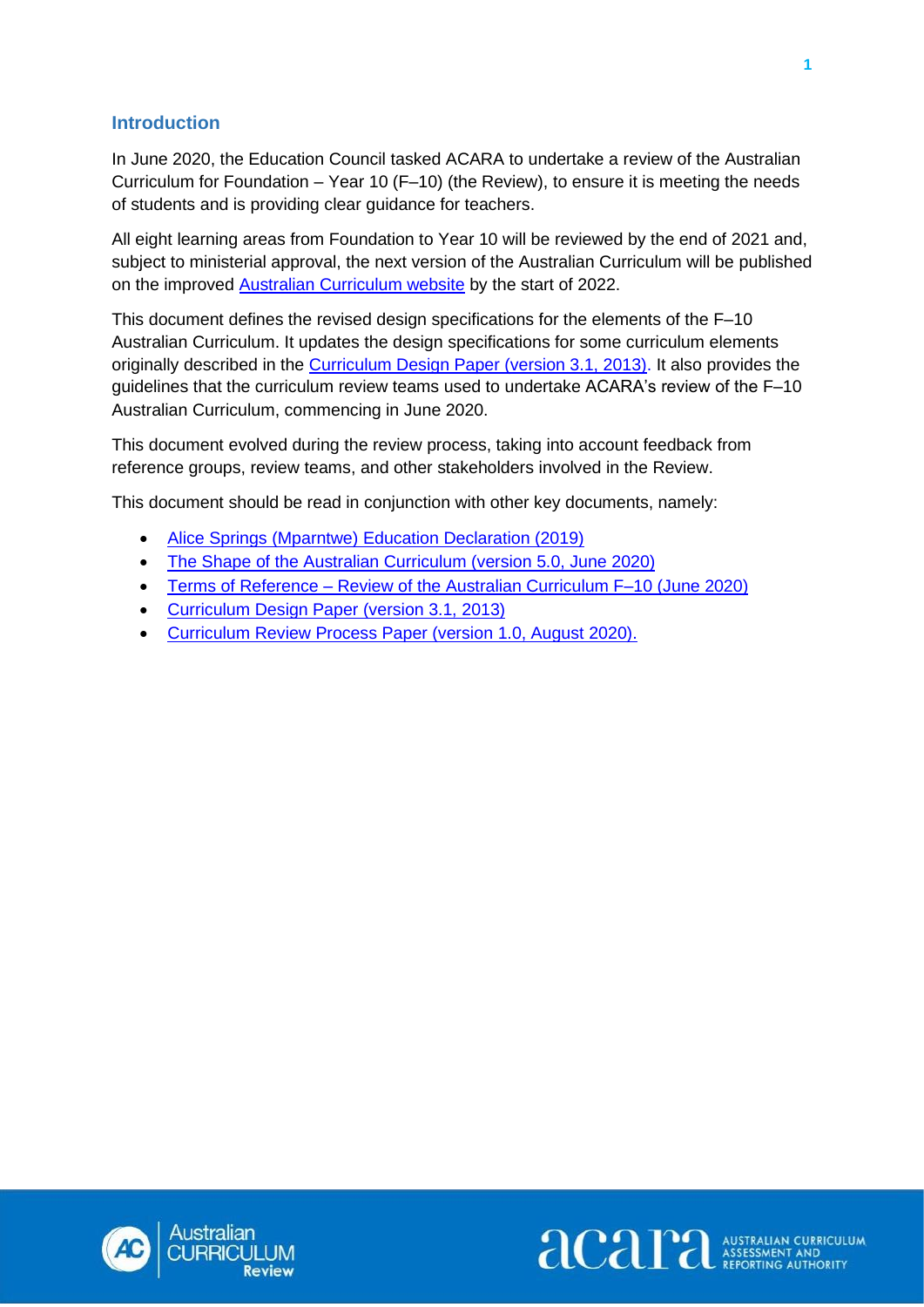#### <span id="page-4-0"></span>**Introduction**

In June 2020, the Education Council tasked ACARA to undertake a review of the Australian Curriculum for Foundation – Year 10 (F–10) (the Review), to ensure it is meeting the needs of students and is providing clear guidance for teachers.

All eight learning areas from Foundation to Year 10 will be reviewed by the end of 2021 and, subject to ministerial approval, the next version of the Australian Curriculum will be published on the improved [Australian Curriculum website](https://www.australiancurriculum.edu.au/) by the start of 2022.

This document defines the revised design specifications for the elements of the F–10 Australian Curriculum. It updates the design specifications for some curriculum elements originally described in the [Curriculum Design Paper \(version 3.1, 2013\).](https://docs.acara.edu.au/resources/07_04_Curriculum_Design_Paper_version_3_1_June_2012.pdf) It also provides the guidelines that the curriculum review teams used to undertake ACARA's review of the F–10 Australian Curriculum, commencing in June 2020.

This document evolved during the review process, taking into account feedback from reference groups, review teams, and other stakeholders involved in the Review.

This document should be read in conjunction with other key documents, namely:

- [Alice Springs \(Mparntwe\) Education Declaration \(2019\)](http://www.educationcouncil.edu.au/site/DefaultSite/filesystem/documents/Reports%20and%20publications/Alice%20Springs%20(Mparntwe)%20Education%20Declaration.pdf)
- [The Shape of the Australian Curriculum \(version 5.0, June 2020\)](https://www.acara.edu.au/docs/default-source/curriculum/the_shape_of_the_australian_curriculum_version5_for-website.pdf)
- Terms of Reference [Review of the Australian Curriculum F–10 \(June 2020\)](https://www.acara.edu.au/docs/default-source/curriculum/ac-review_terms-of-reference_website.pdf)
- [Curriculum Design Paper \(version 3.1, 2013\)](https://docs.acara.edu.au/resources/07_04_Curriculum_Design_Paper_version_3_1_June_2012.pdf)
- [Curriculum Review Process Paper \(version 1.0, August 2020\).](https://www.acara.edu.au/docs/default-source/curriculum/curriculum-review-process-paper-31-august-2020.pdf)





**1**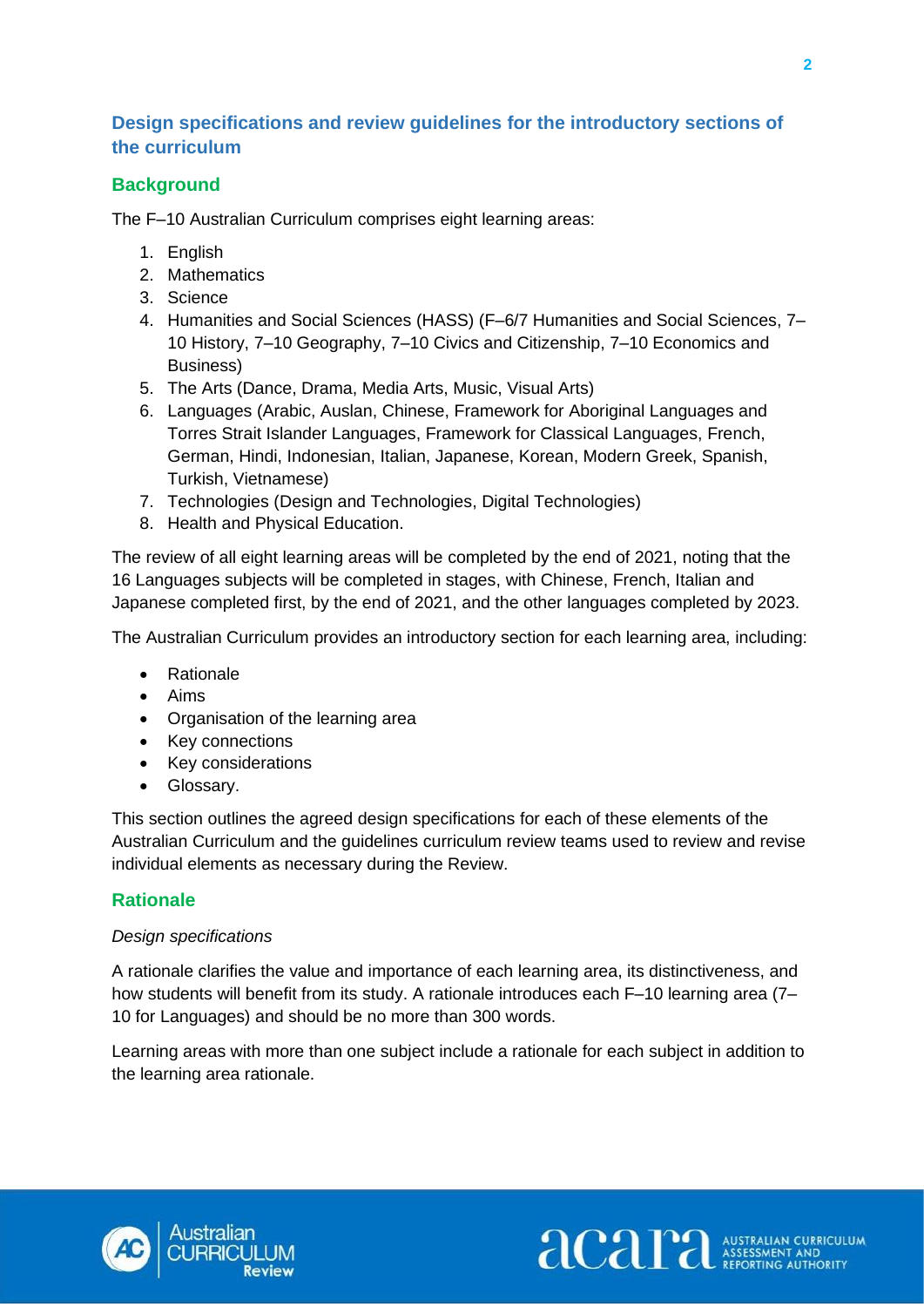## <span id="page-5-0"></span>**Design specifications and review guidelines for the introductory sections of the curriculum**

## **Background**

The F–10 Australian Curriculum comprises eight learning areas:

- 1. English
- 2. Mathematics
- 3. Science
- 4. Humanities and Social Sciences (HASS) (F–6/7 Humanities and Social Sciences, 7– 10 History, 7–10 Geography, 7–10 Civics and Citizenship, 7–10 Economics and Business)
- 5. The Arts (Dance, Drama, Media Arts, Music, Visual Arts)
- 6. Languages (Arabic, Auslan, Chinese, Framework for Aboriginal Languages and Torres Strait Islander Languages, Framework for Classical Languages, French, German, Hindi, Indonesian, Italian, Japanese, Korean, Modern Greek, Spanish, Turkish, Vietnamese)
- 7. Technologies (Design and Technologies, Digital Technologies)
- 8. Health and Physical Education.

The review of all eight learning areas will be completed by the end of 2021, noting that the 16 Languages subjects will be completed in stages, with Chinese, French, Italian and Japanese completed first, by the end of 2021, and the other languages completed by 2023.

The Australian Curriculum provides an introductory section for each learning area, including:

- Rationale
- Aims
- Organisation of the learning area
- Key connections
- Key considerations
- Glossary.

This section outlines the agreed design specifications for each of these elements of the Australian Curriculum and the guidelines curriculum review teams used to review and revise individual elements as necessary during the Review.

## <span id="page-5-1"></span>**Rationale**

#### *Design specifications*

A rationale clarifies the value and importance of each learning area, its distinctiveness, and how students will benefit from its study. A rationale introduces each F–10 learning area (7– 10 for Languages) and should be no more than 300 words.

Learning areas with more than one subject include a rationale for each subject in addition to the learning area rationale.



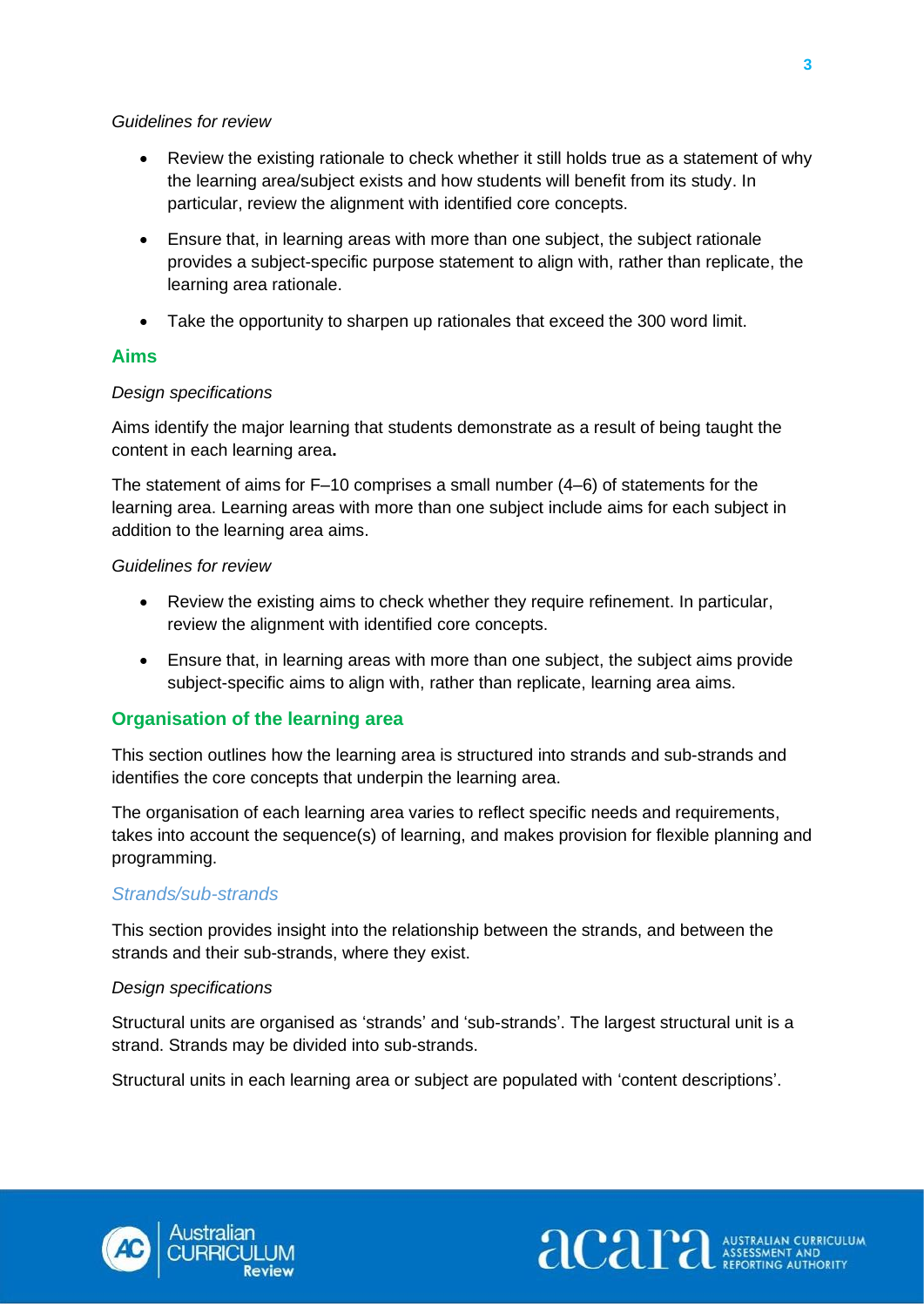#### *Guidelines for review*

- Review the existing rationale to check whether it still holds true as a statement of why the learning area/subject exists and how students will benefit from its study. In particular, review the alignment with identified core concepts.
- Ensure that, in learning areas with more than one subject, the subject rationale provides a subject-specific purpose statement to align with, rather than replicate, the learning area rationale.
- Take the opportunity to sharpen up rationales that exceed the 300 word limit.

## <span id="page-6-0"></span>**Aims**

## *Design specifications*

Aims identify the major learning that students demonstrate as a result of being taught the content in each learning area**.** 

The statement of aims for F–10 comprises a small number (4–6) of statements for the learning area. Learning areas with more than one subject include aims for each subject in addition to the learning area aims.

#### *Guidelines for review*

- Review the existing aims to check whether they require refinement. In particular, review the alignment with identified core concepts.
- Ensure that, in learning areas with more than one subject, the subject aims provide subject-specific aims to align with, rather than replicate, learning area aims.

## <span id="page-6-1"></span>**Organisation of the learning area**

This section outlines how the learning area is structured into strands and sub-strands and identifies the core concepts that underpin the learning area.

The organisation of each learning area varies to reflect specific needs and requirements, takes into account the sequence(s) of learning, and makes provision for flexible planning and programming.

## *Strands/sub-strands*

This section provides insight into the relationship between the strands, and between the strands and their sub-strands, where they exist.

#### *Design specifications*

Structural units are organised as 'strands' and 'sub-strands'. The largest structural unit is a strand. Strands may be divided into sub-strands.

Structural units in each learning area or subject are populated with 'content descriptions'.



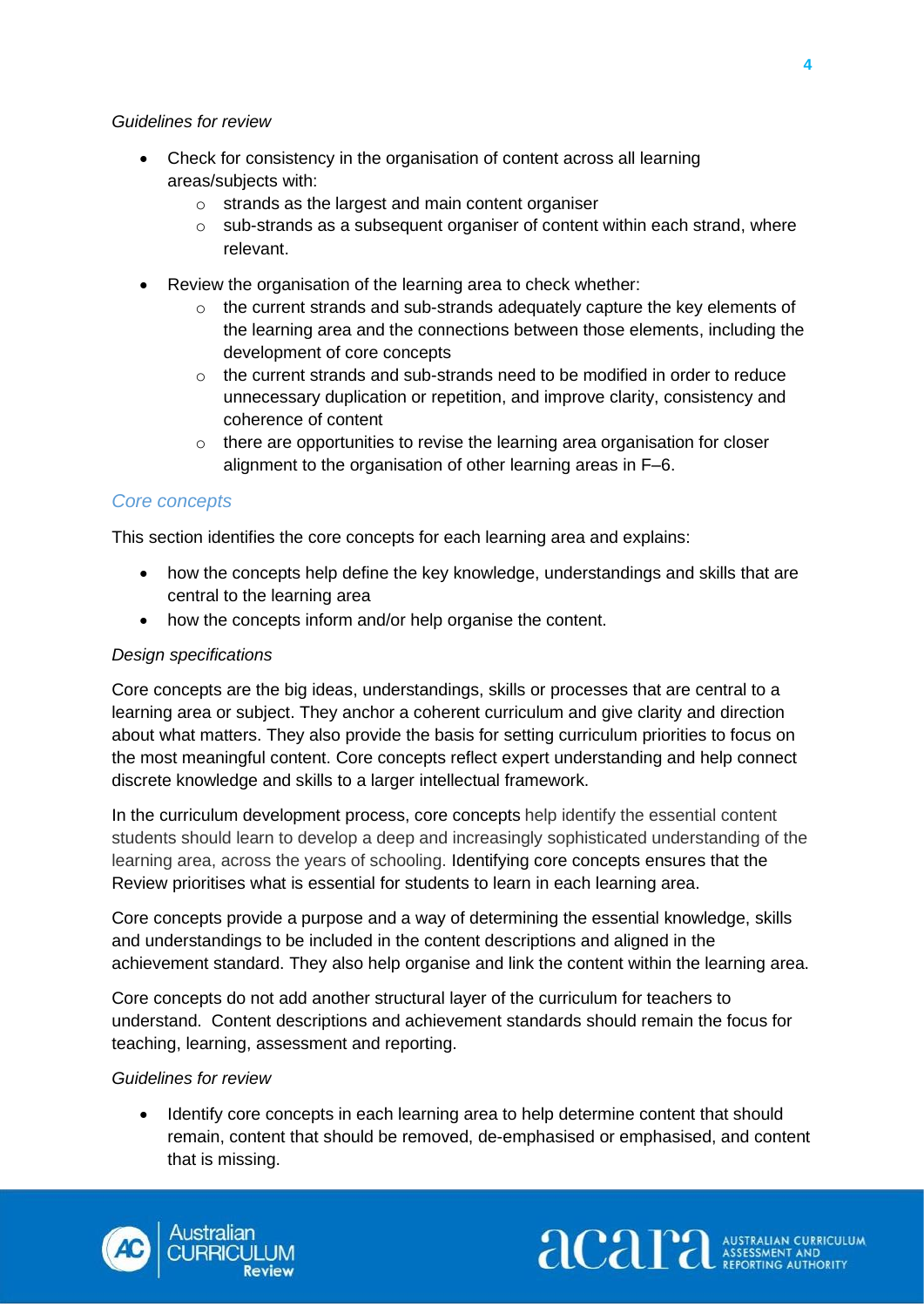#### *Guidelines for review*

- Check for consistency in the organisation of content across all learning areas/subjects with:
	- o strands as the largest and main content organiser
	- $\circ$  sub-strands as a subsequent organiser of content within each strand, where relevant.
- Review the organisation of the learning area to check whether:
	- $\circ$  the current strands and sub-strands adequately capture the key elements of the learning area and the connections between those elements, including the development of core concepts
	- $\circ$  the current strands and sub-strands need to be modified in order to reduce unnecessary duplication or repetition, and improve clarity, consistency and coherence of content
	- o there are opportunities to revise the learning area organisation for closer alignment to the organisation of other learning areas in F–6.

#### *Core concepts*

This section identifies the core concepts for each learning area and explains:

- how the concepts help define the key knowledge, understandings and skills that are central to the learning area
- how the concepts inform and/or help organise the content.

#### *Design specifications*

Core concepts are the big ideas, understandings, skills or processes that are central to a learning area or subject. They anchor a coherent curriculum and give clarity and direction about what matters. They also provide the basis for setting curriculum priorities to focus on the most meaningful content. Core concepts reflect expert understanding and help connect discrete knowledge and skills to a larger intellectual framework.

In the curriculum development process, core concepts help identify the essential content students should learn to develop a deep and increasingly sophisticated understanding of the learning area, across the years of schooling. Identifying core concepts ensures that the Review prioritises what is essential for students to learn in each learning area.

Core concepts provide a purpose and a way of determining the essential knowledge, skills and understandings to be included in the content descriptions and aligned in the achievement standard. They also help organise and link the content within the learning area.

Core concepts do not add another structural layer of the curriculum for teachers to understand. Content descriptions and achievement standards should remain the focus for teaching, learning, assessment and reporting.

#### *Guidelines for review*

• Identify core concepts in each learning area to help determine content that should remain, content that should be removed, de-emphasised or emphasised, and content that is missing.

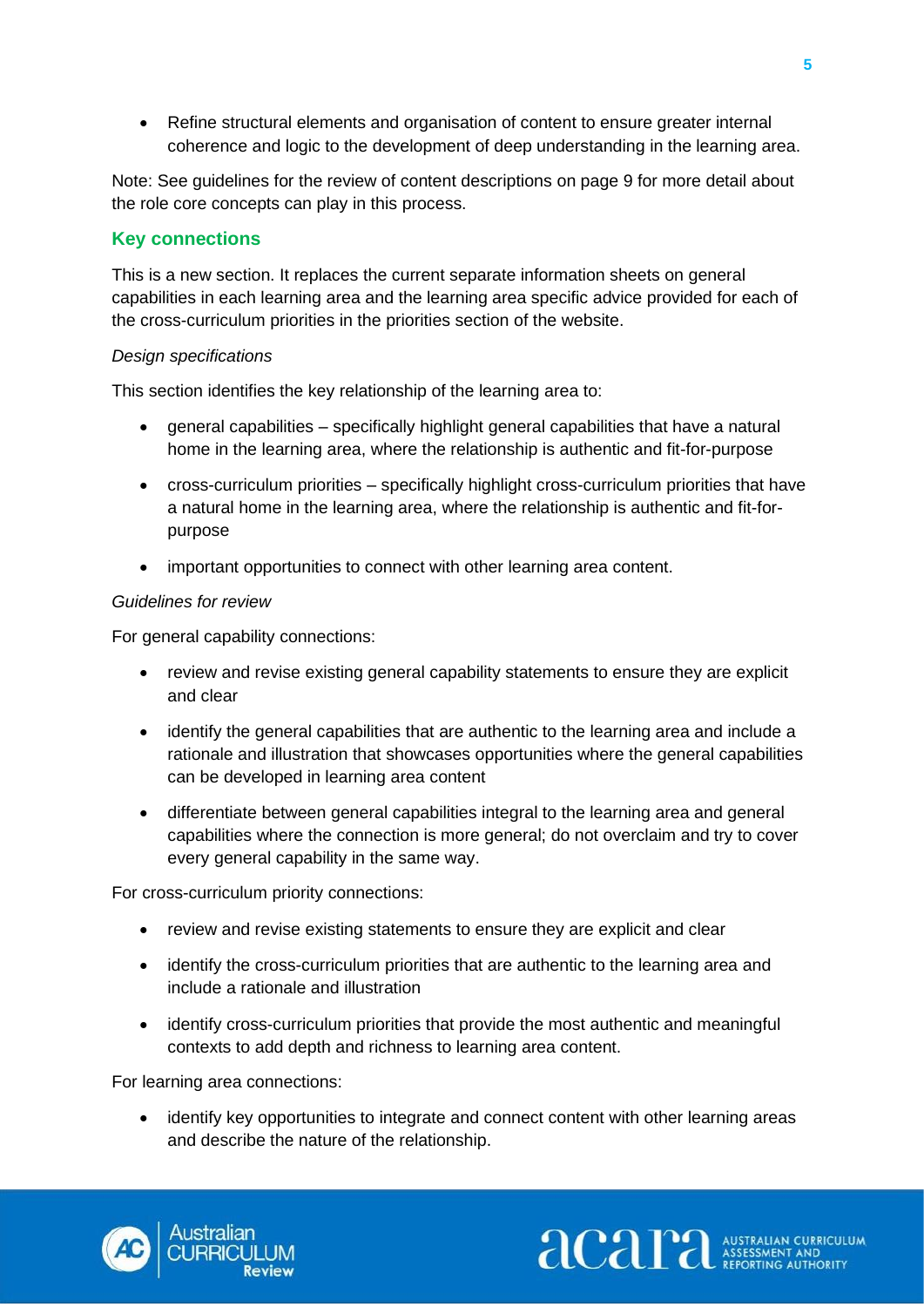• Refine structural elements and organisation of content to ensure greater internal coherence and logic to the development of deep understanding in the learning area.

Note: See guidelines for the review of content descriptions on page 9 for more detail about the role core concepts can play in this process.

#### <span id="page-8-0"></span>**Key connections**

This is a new section. It replaces the current separate information sheets on general capabilities in each learning area and the learning area specific advice provided for each of the cross-curriculum priorities in the priorities section of the website.

#### *Design specifications*

This section identifies the key relationship of the learning area to:

- general capabilities specifically highlight general capabilities that have a natural home in the learning area, where the relationship is authentic and fit-for-purpose
- cross-curriculum priorities specifically highlight cross-curriculum priorities that have a natural home in the learning area, where the relationship is authentic and fit-forpurpose
- important opportunities to connect with other learning area content.

#### *Guidelines for review*

For general capability connections:

- review and revise existing general capability statements to ensure they are explicit and clear
- identify the general capabilities that are authentic to the learning area and include a rationale and illustration that showcases opportunities where the general capabilities can be developed in learning area content
- differentiate between general capabilities integral to the learning area and general capabilities where the connection is more general; do not overclaim and try to cover every general capability in the same way.

For cross-curriculum priority connections:

- review and revise existing statements to ensure they are explicit and clear
- identify the cross-curriculum priorities that are authentic to the learning area and include a rationale and illustration
- identify cross-curriculum priorities that provide the most authentic and meaningful contexts to add depth and richness to learning area content.

For learning area connections:

• identify key opportunities to integrate and connect content with other learning areas and describe the nature of the relationship.

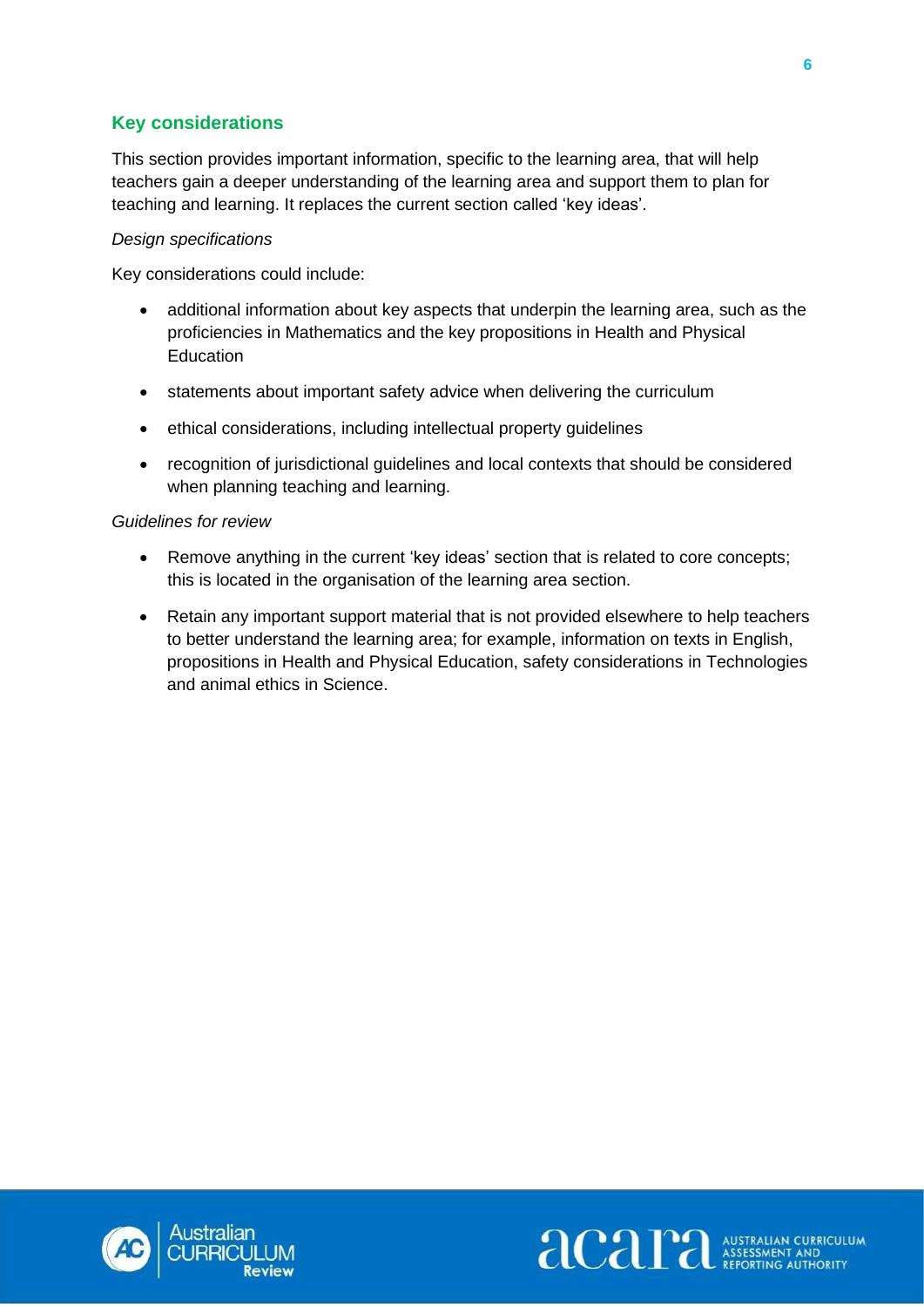## <span id="page-9-0"></span>**Key considerations**

This section provides important information, specific to the learning area, that will help teachers gain a deeper understanding of the learning area and support them to plan for teaching and learning. It replaces the current section called 'key ideas'.

#### *Design specifications*

Key considerations could include:

- additional information about key aspects that underpin the learning area, such as the proficiencies in Mathematics and the key propositions in Health and Physical Education
- statements about important safety advice when delivering the curriculum
- ethical considerations, including intellectual property guidelines
- recognition of jurisdictional guidelines and local contexts that should be considered when planning teaching and learning.

#### *Guidelines for review*

- Remove anything in the current 'key ideas' section that is related to core concepts; this is located in the organisation of the learning area section.
- Retain any important support material that is not provided elsewhere to help teachers to better understand the learning area; for example, information on texts in English, propositions in Health and Physical Education, safety considerations in Technologies and animal ethics in Science.



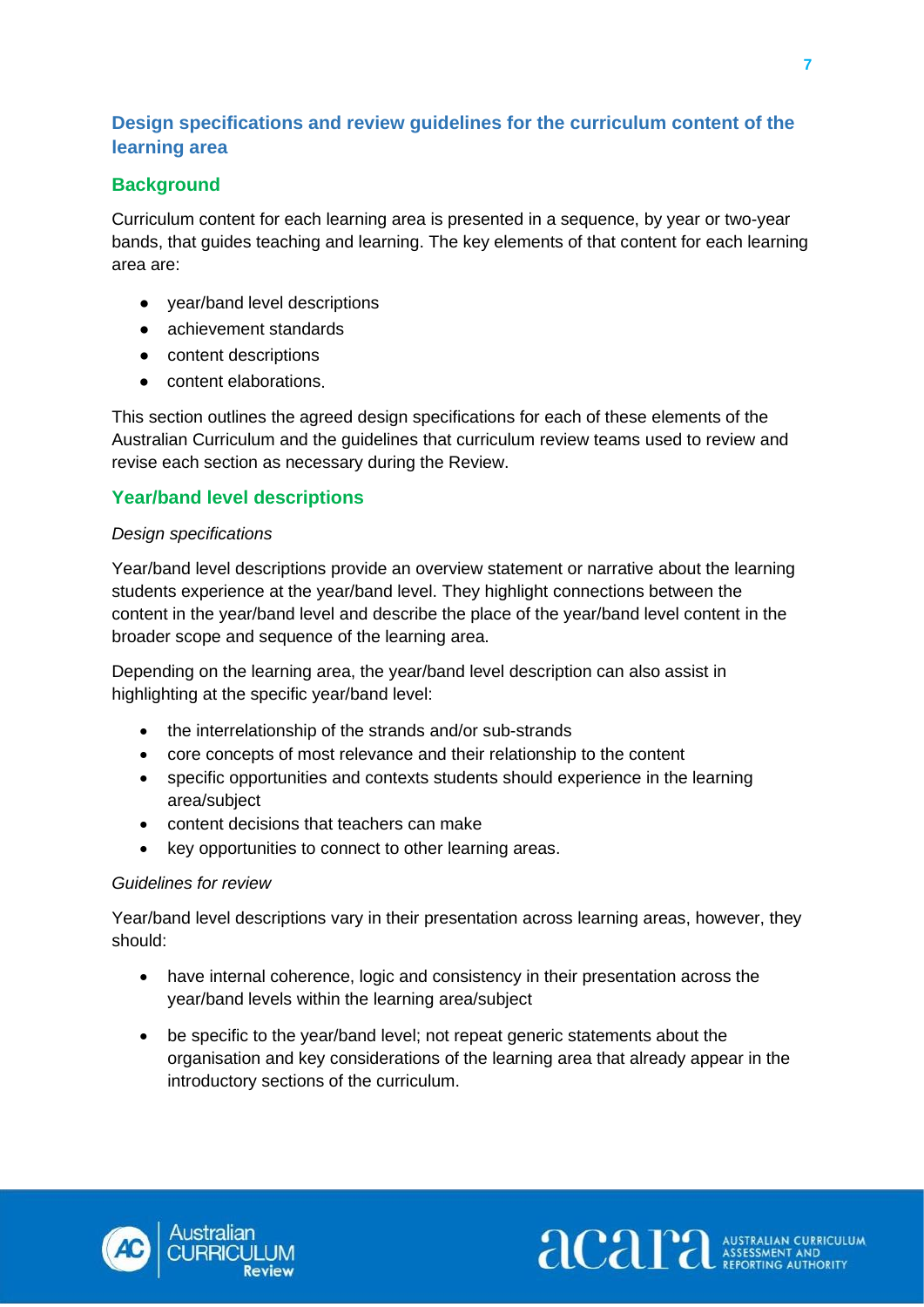## <span id="page-10-0"></span>**Design specifications and review guidelines for the curriculum content of the learning area**

## **Background**

Curriculum content for each learning area is presented in a sequence, by year or two-year bands, that guides teaching and learning. The key elements of that content for each learning area are:

- year/band level descriptions
- achievement standards
- content descriptions
- content elaborations.

This section outlines the agreed design specifications for each of these elements of the Australian Curriculum and the guidelines that curriculum review teams used to review and revise each section as necessary during the Review.

#### <span id="page-10-1"></span>**Year/band level descriptions**

#### *Design specifications*

Year/band level descriptions provide an overview statement or narrative about the learning students experience at the year/band level. They highlight connections between the content in the year/band level and describe the place of the year/band level content in the broader scope and sequence of the learning area.

Depending on the learning area, the year/band level description can also assist in highlighting at the specific year/band level:

- the interrelationship of the strands and/or sub-strands
- core concepts of most relevance and their relationship to the content
- specific opportunities and contexts students should experience in the learning area/subject
- content decisions that teachers can make
- key opportunities to connect to other learning areas.

#### *Guidelines for review*

Year/band level descriptions vary in their presentation across learning areas, however, they should:

- have internal coherence, logic and consistency in their presentation across the year/band levels within the learning area/subject
- be specific to the year/band level; not repeat generic statements about the organisation and key considerations of the learning area that already appear in the introductory sections of the curriculum.

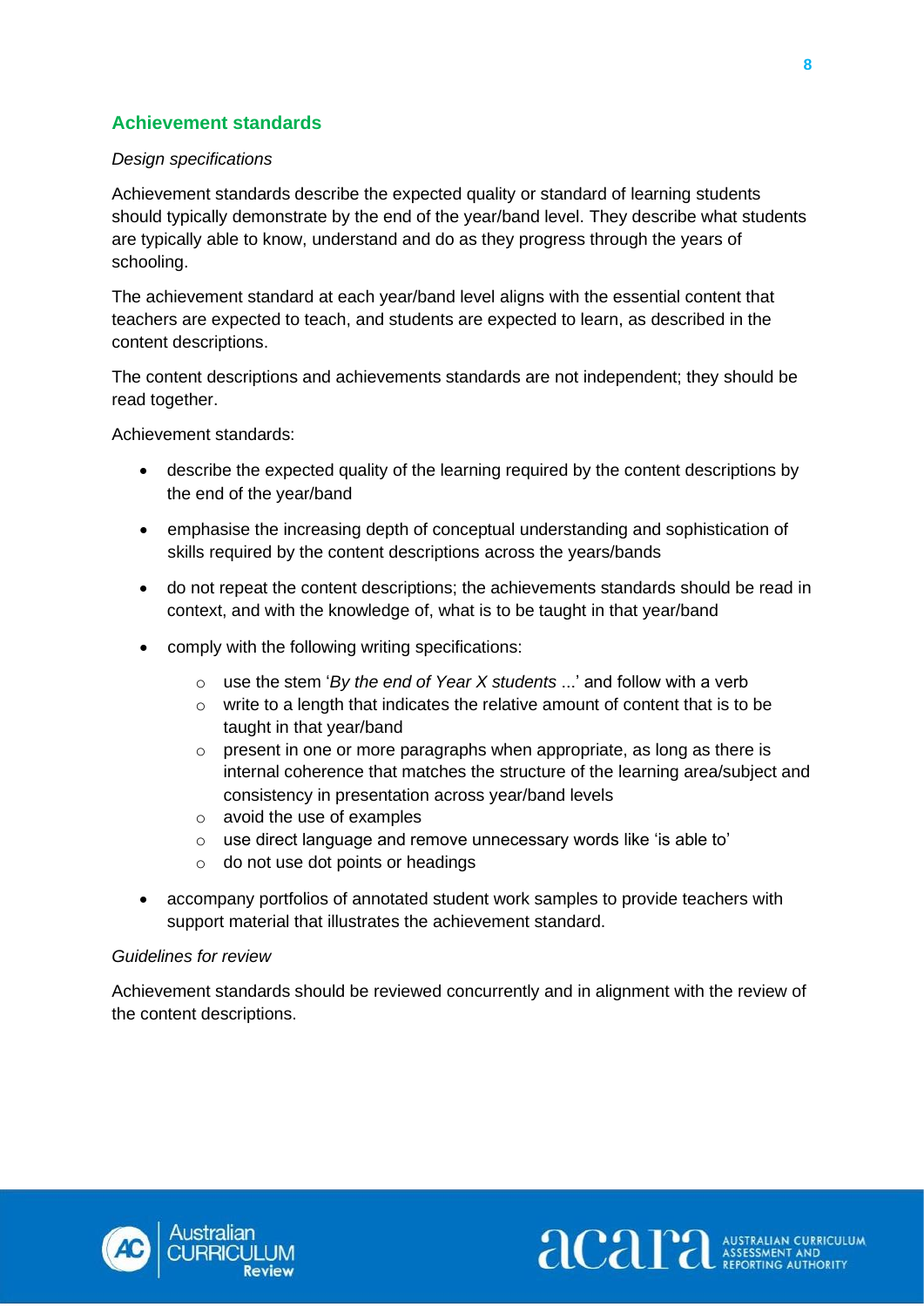## <span id="page-11-0"></span>**Achievement standards**

#### *Design specifications*

Achievement standards describe the expected quality or standard of learning students should typically demonstrate by the end of the year/band level. They describe what students are typically able to know, understand and do as they progress through the years of schooling.

The achievement standard at each year/band level aligns with the essential content that teachers are expected to teach, and students are expected to learn, as described in the content descriptions.

The content descriptions and achievements standards are not independent; they should be read together.

Achievement standards:

- describe the expected quality of the learning required by the content descriptions by the end of the year/band
- emphasise the increasing depth of conceptual understanding and sophistication of skills required by the content descriptions across the years/bands
- do not repeat the content descriptions; the achievements standards should be read in context, and with the knowledge of, what is to be taught in that year/band
- comply with the following writing specifications:
	- o use the stem '*By the end of Year X students* ...' and follow with a verb
	- o write to a length that indicates the relative amount of content that is to be taught in that year/band
	- o present in one or more paragraphs when appropriate, as long as there is internal coherence that matches the structure of the learning area/subject and consistency in presentation across year/band levels
	- o avoid the use of examples
	- o use direct language and remove unnecessary words like 'is able to'
	- o do not use dot points or headings
- accompany portfolios of annotated student work samples to provide teachers with support material that illustrates the achievement standard.

#### *Guidelines for review*

Achievement standards should be reviewed concurrently and in alignment with the review of the content descriptions.



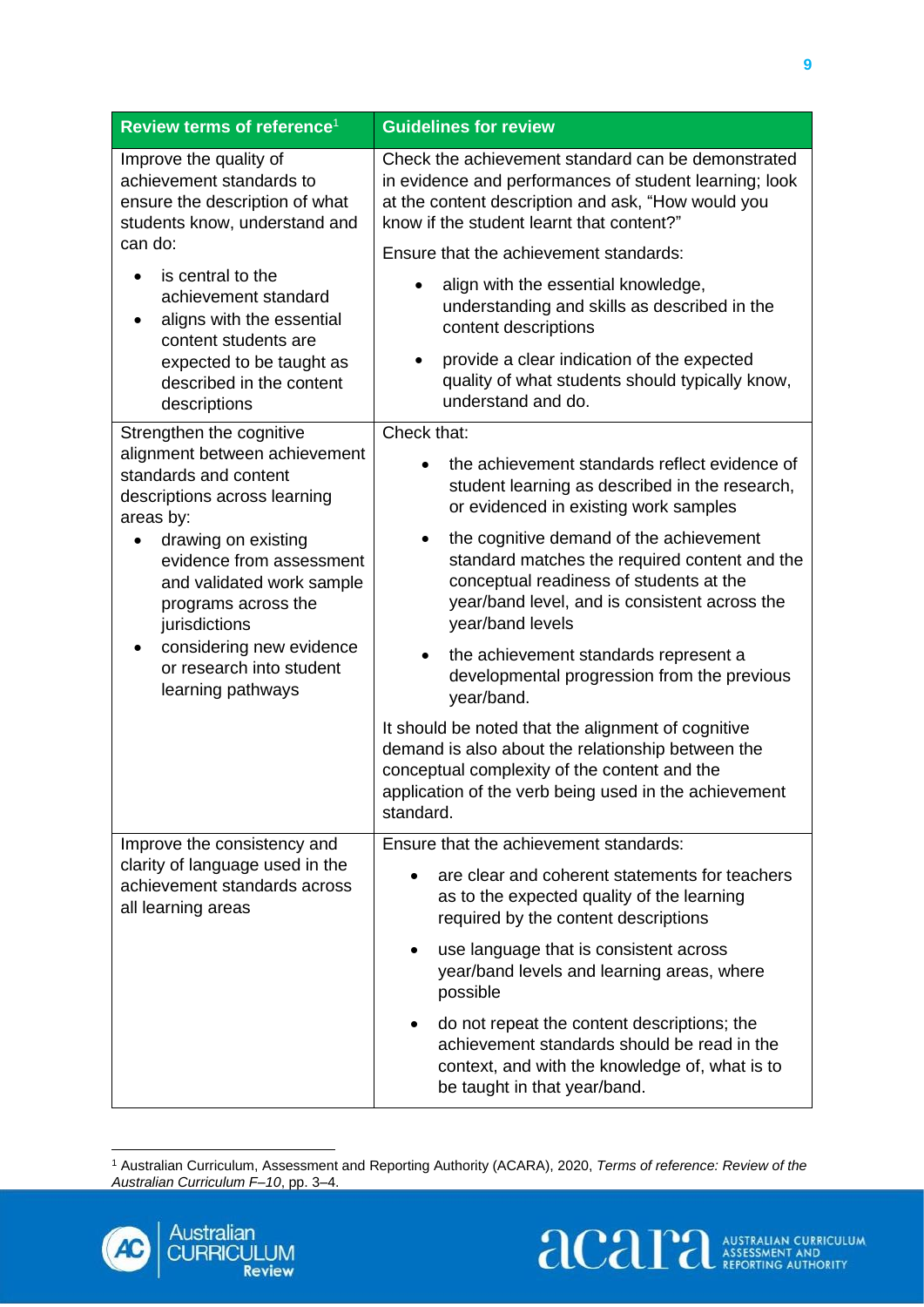| Review terms of reference <sup>1</sup>                                                                                | <b>Guidelines for review</b>                                                                                                                                                                                                  |
|-----------------------------------------------------------------------------------------------------------------------|-------------------------------------------------------------------------------------------------------------------------------------------------------------------------------------------------------------------------------|
| Improve the quality of<br>achievement standards to<br>ensure the description of what<br>students know, understand and | Check the achievement standard can be demonstrated<br>in evidence and performances of student learning; look<br>at the content description and ask, "How would you<br>know if the student learnt that content?"               |
| can do:                                                                                                               | Ensure that the achievement standards:                                                                                                                                                                                        |
| is central to the<br>achievement standard<br>aligns with the essential<br>content students are                        | align with the essential knowledge,<br>understanding and skills as described in the<br>content descriptions                                                                                                                   |
| expected to be taught as<br>described in the content<br>descriptions                                                  | provide a clear indication of the expected<br>quality of what students should typically know,<br>understand and do.                                                                                                           |
| Strengthen the cognitive                                                                                              | Check that:                                                                                                                                                                                                                   |
| alignment between achievement<br>standards and content<br>descriptions across learning<br>areas by:                   | the achievement standards reflect evidence of<br>$\bullet$<br>student learning as described in the research,<br>or evidenced in existing work samples                                                                         |
| drawing on existing<br>evidence from assessment<br>and validated work sample<br>programs across the<br>jurisdictions  | the cognitive demand of the achievement<br>$\bullet$<br>standard matches the required content and the<br>conceptual readiness of students at the<br>year/band level, and is consistent across the<br>year/band levels         |
| considering new evidence<br>or research into student<br>learning pathways                                             | the achievement standards represent a<br>$\bullet$<br>developmental progression from the previous<br>year/band.                                                                                                               |
|                                                                                                                       | It should be noted that the alignment of cognitive<br>demand is also about the relationship between the<br>conceptual complexity of the content and the<br>application of the verb being used in the achievement<br>standard. |
| Improve the consistency and                                                                                           | Ensure that the achievement standards:                                                                                                                                                                                        |
| clarity of language used in the<br>achievement standards across<br>all learning areas                                 | are clear and coherent statements for teachers<br>as to the expected quality of the learning<br>required by the content descriptions                                                                                          |
|                                                                                                                       | use language that is consistent across<br>٠<br>year/band levels and learning areas, where<br>possible                                                                                                                         |
|                                                                                                                       | do not repeat the content descriptions; the<br>$\bullet$<br>achievement standards should be read in the<br>context, and with the knowledge of, what is to<br>be taught in that year/band.                                     |

<sup>1</sup> Australian Curriculum, Assessment and Reporting Authority (ACARA), 2020, *Terms of reference: Review of the Australian Curriculum F–10*, pp. 3–4.

**acaritralian CURRICULUM** 

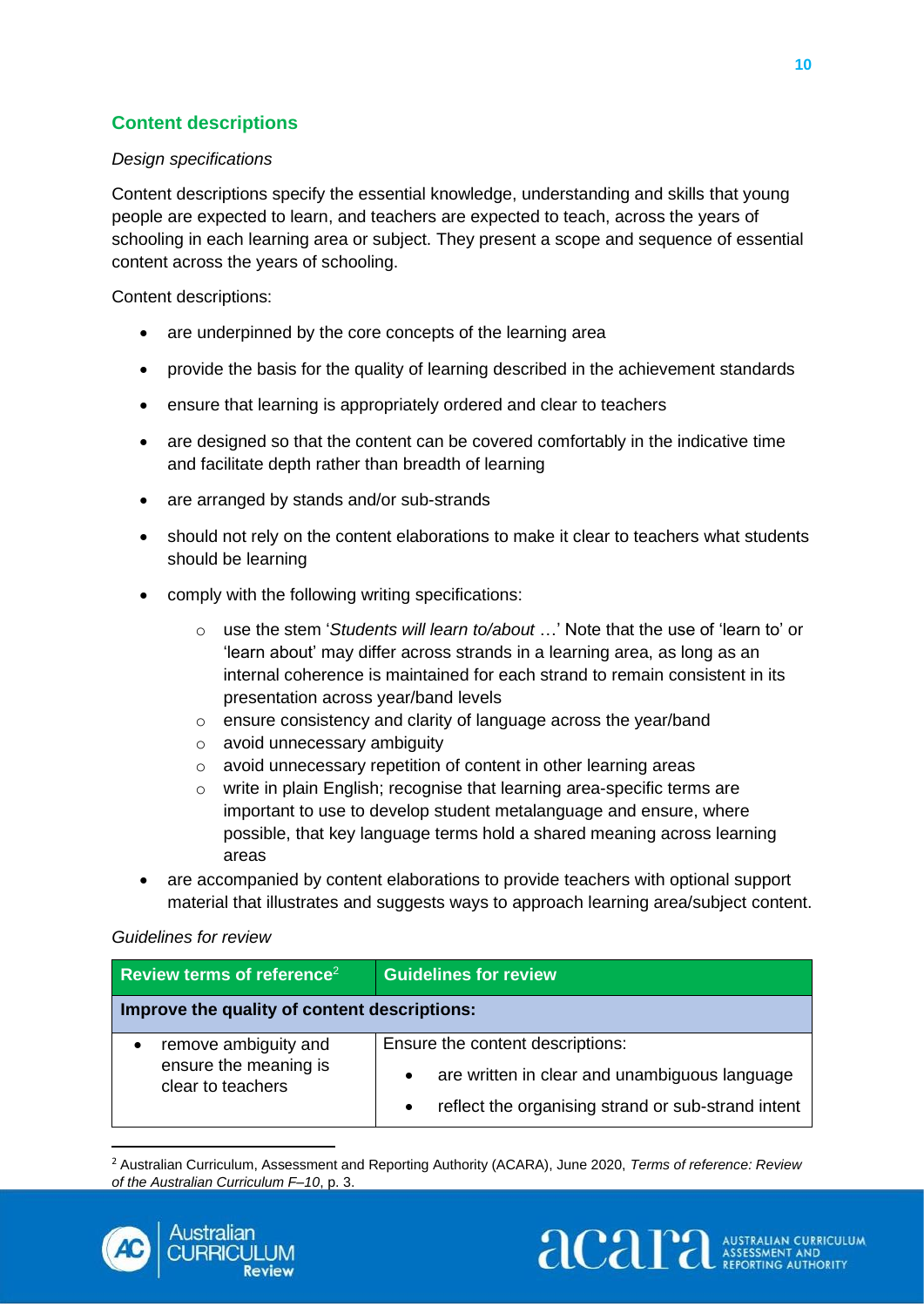## <span id="page-13-0"></span>**Content descriptions**

#### *Design specifications*

Content descriptions specify the essential knowledge, understanding and skills that young people are expected to learn, and teachers are expected to teach, across the years of schooling in each learning area or subject. They present a scope and sequence of essential content across the years of schooling.

Content descriptions:

- are underpinned by the core concepts of the learning area
- provide the basis for the quality of learning described in the achievement standards
- ensure that learning is appropriately ordered and clear to teachers
- are designed so that the content can be covered comfortably in the indicative time and facilitate depth rather than breadth of learning
- are arranged by stands and/or sub-strands
- should not rely on the content elaborations to make it clear to teachers what students should be learning
- comply with the following writing specifications:
	- o use the stem '*Students will learn to/about* …' Note that the use of 'learn to' or 'learn about' may differ across strands in a learning area, as long as an internal coherence is maintained for each strand to remain consistent in its presentation across year/band levels
	- o ensure consistency and clarity of language across the year/band
	- o avoid unnecessary ambiguity
	- o avoid unnecessary repetition of content in other learning areas
	- o write in plain English; recognise that learning area-specific terms are important to use to develop student metalanguage and ensure, where possible, that key language terms hold a shared meaning across learning areas
- are accompanied by content elaborations to provide teachers with optional support material that illustrates and suggests ways to approach learning area/subject content.

#### *Guidelines for review*

| Review terms of reference <sup>2</sup>                             | <b>Guidelines for review</b>                                                                                                                                      |
|--------------------------------------------------------------------|-------------------------------------------------------------------------------------------------------------------------------------------------------------------|
| Improve the quality of content descriptions:                       |                                                                                                                                                                   |
| remove ambiguity and<br>ensure the meaning is<br>clear to teachers | Ensure the content descriptions:<br>are written in clear and unambiguous language<br>$\bullet$<br>reflect the organising strand or sub-strand intent<br>$\bullet$ |

<sup>2</sup> Australian Curriculum, Assessment and Reporting Authority (ACARA), June 2020, *Terms of reference: Review of the Australian Curriculum F–10*, p. 3.



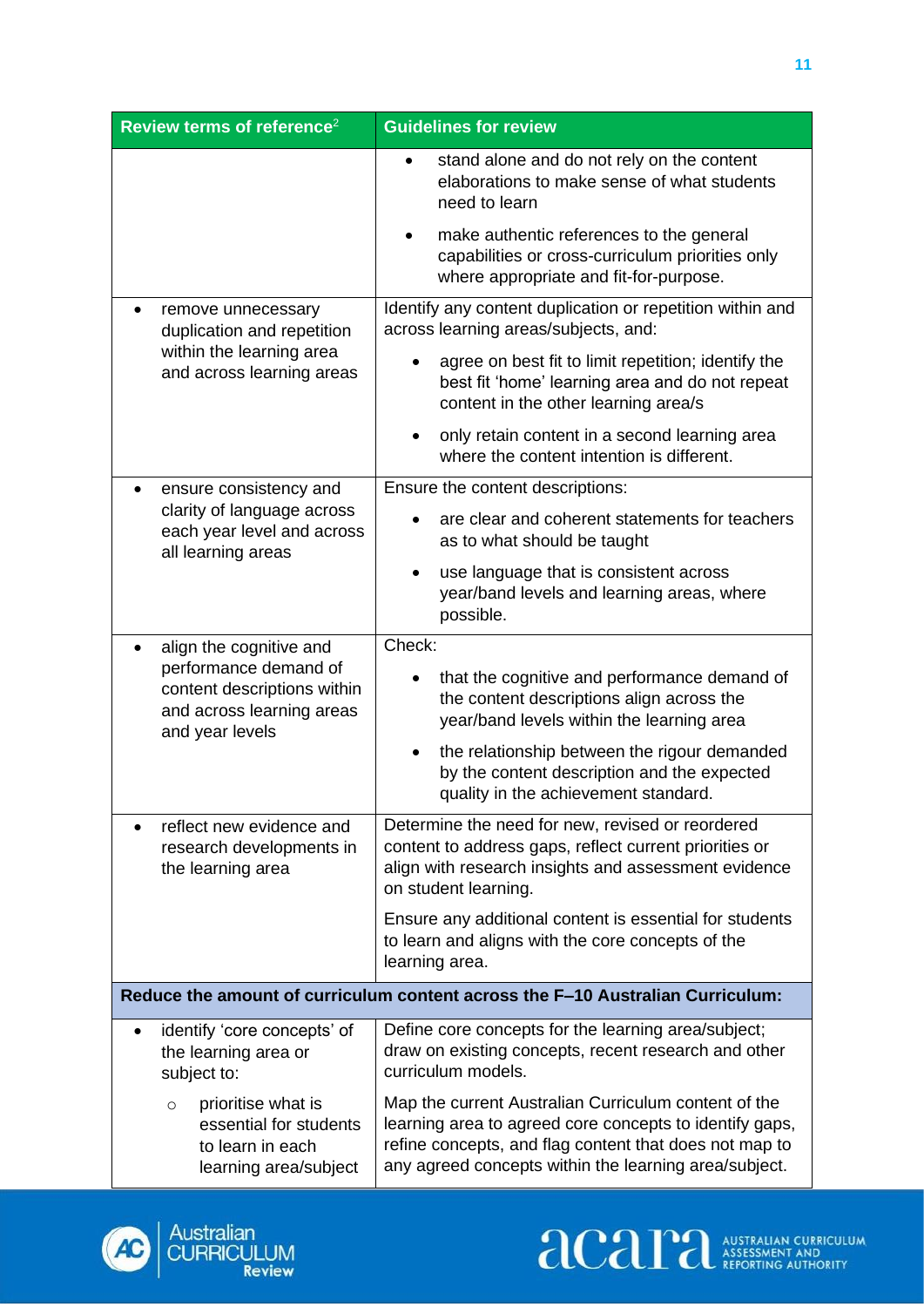| Review terms of reference <sup>2</sup>                                                               | <b>Guidelines for review</b>                                                                                                                                                                                                       |  |
|------------------------------------------------------------------------------------------------------|------------------------------------------------------------------------------------------------------------------------------------------------------------------------------------------------------------------------------------|--|
|                                                                                                      | stand alone and do not rely on the content<br>$\bullet$<br>elaborations to make sense of what students<br>need to learn                                                                                                            |  |
|                                                                                                      | make authentic references to the general<br>capabilities or cross-curriculum priorities only<br>where appropriate and fit-for-purpose.                                                                                             |  |
| remove unnecessary<br>duplication and repetition                                                     | Identify any content duplication or repetition within and<br>across learning areas/subjects, and:                                                                                                                                  |  |
| within the learning area<br>and across learning areas                                                | agree on best fit to limit repetition; identify the<br>best fit 'home' learning area and do not repeat<br>content in the other learning area/s                                                                                     |  |
|                                                                                                      | only retain content in a second learning area<br>where the content intention is different.                                                                                                                                         |  |
| ensure consistency and                                                                               | Ensure the content descriptions:                                                                                                                                                                                                   |  |
| clarity of language across<br>each year level and across<br>all learning areas                       | are clear and coherent statements for teachers<br>as to what should be taught                                                                                                                                                      |  |
|                                                                                                      | use language that is consistent across<br>$\bullet$<br>year/band levels and learning areas, where<br>possible.                                                                                                                     |  |
| align the cognitive and<br>performance demand of                                                     | Check:                                                                                                                                                                                                                             |  |
| content descriptions within<br>and across learning areas<br>and year levels                          | that the cognitive and performance demand of<br>the content descriptions align across the<br>year/band levels within the learning area                                                                                             |  |
|                                                                                                      | the relationship between the rigour demanded<br>by the content description and the expected<br>quality in the achievement standard.                                                                                                |  |
| reflect new evidence and<br>research developments in<br>the learning area                            | Determine the need for new, revised or reordered<br>content to address gaps, reflect current priorities or<br>align with research insights and assessment evidence<br>on student learning.                                         |  |
|                                                                                                      | Ensure any additional content is essential for students<br>to learn and aligns with the core concepts of the<br>learning area.                                                                                                     |  |
| Reduce the amount of curriculum content across the F-10 Australian Curriculum:                       |                                                                                                                                                                                                                                    |  |
| identify 'core concepts' of<br>the learning area or<br>subject to:                                   | Define core concepts for the learning area/subject;<br>draw on existing concepts, recent research and other<br>curriculum models.                                                                                                  |  |
| prioritise what is<br>$\circ$<br>essential for students<br>to learn in each<br>learning area/subject | Map the current Australian Curriculum content of the<br>learning area to agreed core concepts to identify gaps,<br>refine concepts, and flag content that does not map to<br>any agreed concepts within the learning area/subject. |  |



**acaritralian CURRICULUM**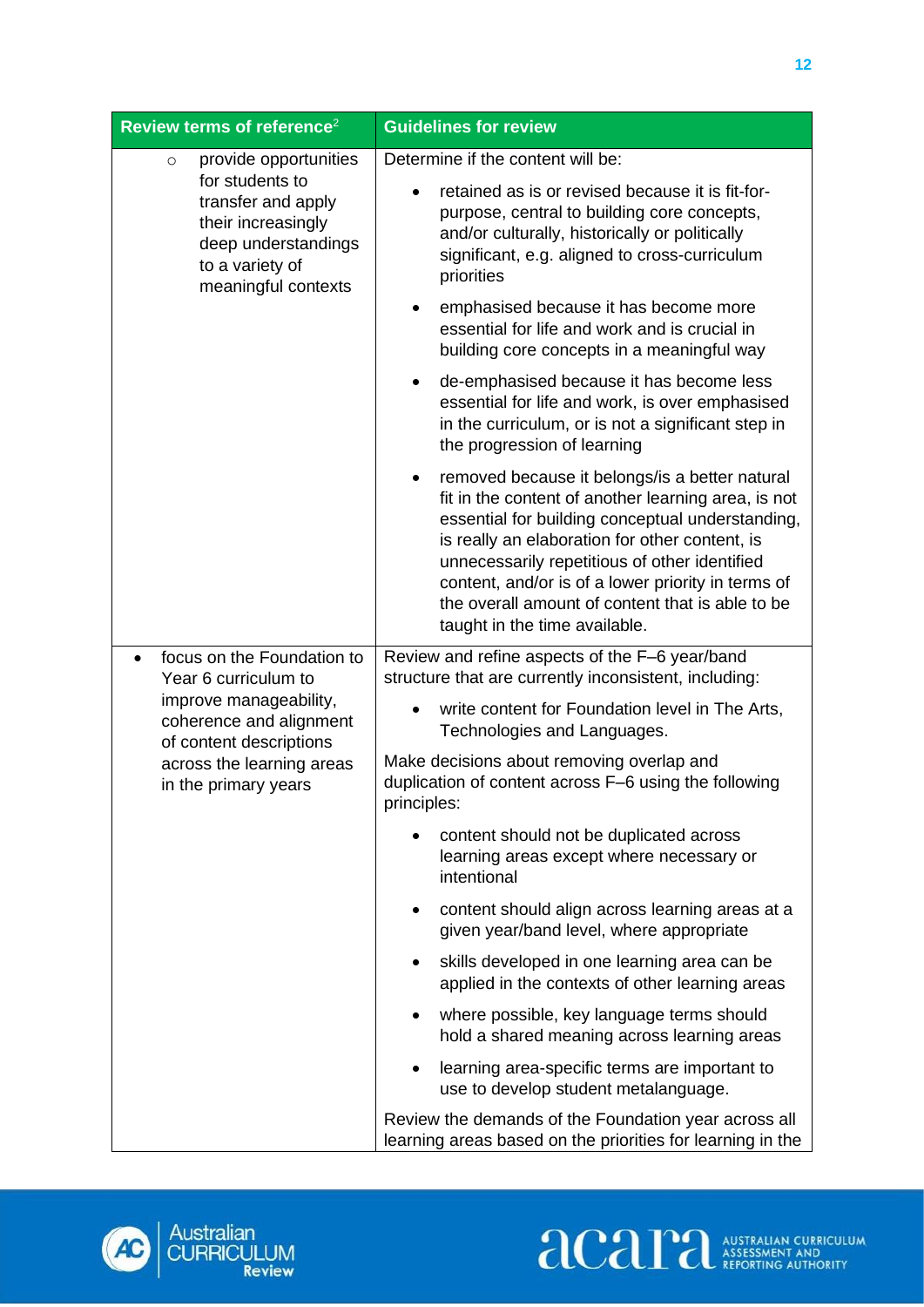| Review terms of reference <sup>2</sup>                                                                                                                           | <b>Guidelines for review</b>                                                                                                                                                                                                                                                                                                                                                                                         |
|------------------------------------------------------------------------------------------------------------------------------------------------------------------|----------------------------------------------------------------------------------------------------------------------------------------------------------------------------------------------------------------------------------------------------------------------------------------------------------------------------------------------------------------------------------------------------------------------|
| provide opportunities<br>$\circ$<br>for students to<br>transfer and apply<br>their increasingly<br>deep understandings<br>to a variety of<br>meaningful contexts | Determine if the content will be:<br>retained as is or revised because it is fit-for-<br>$\bullet$<br>purpose, central to building core concepts,<br>and/or culturally, historically or politically<br>significant, e.g. aligned to cross-curriculum<br>priorities                                                                                                                                                   |
|                                                                                                                                                                  | emphasised because it has become more<br>$\bullet$<br>essential for life and work and is crucial in<br>building core concepts in a meaningful way                                                                                                                                                                                                                                                                    |
|                                                                                                                                                                  | de-emphasised because it has become less<br>$\bullet$<br>essential for life and work, is over emphasised<br>in the curriculum, or is not a significant step in<br>the progression of learning                                                                                                                                                                                                                        |
|                                                                                                                                                                  | removed because it belongs/is a better natural<br>$\bullet$<br>fit in the content of another learning area, is not<br>essential for building conceptual understanding,<br>is really an elaboration for other content, is<br>unnecessarily repetitious of other identified<br>content, and/or is of a lower priority in terms of<br>the overall amount of content that is able to be<br>taught in the time available. |
| focus on the Foundation to<br>$\bullet$<br>Year 6 curriculum to                                                                                                  | Review and refine aspects of the F-6 year/band<br>structure that are currently inconsistent, including:                                                                                                                                                                                                                                                                                                              |
| improve manageability,<br>coherence and alignment<br>of content descriptions<br>across the learning areas<br>in the primary years                                | write content for Foundation level in The Arts,<br>Technologies and Languages.                                                                                                                                                                                                                                                                                                                                       |
|                                                                                                                                                                  | Make decisions about removing overlap and<br>duplication of content across F-6 using the following<br>principles:                                                                                                                                                                                                                                                                                                    |
|                                                                                                                                                                  | content should not be duplicated across<br>learning areas except where necessary or<br>intentional                                                                                                                                                                                                                                                                                                                   |
|                                                                                                                                                                  | content should align across learning areas at a<br>$\bullet$<br>given year/band level, where appropriate                                                                                                                                                                                                                                                                                                             |
|                                                                                                                                                                  | skills developed in one learning area can be<br>$\bullet$<br>applied in the contexts of other learning areas                                                                                                                                                                                                                                                                                                         |
|                                                                                                                                                                  | where possible, key language terms should<br>٠<br>hold a shared meaning across learning areas                                                                                                                                                                                                                                                                                                                        |
|                                                                                                                                                                  | learning area-specific terms are important to<br>use to develop student metalanguage.                                                                                                                                                                                                                                                                                                                                |
|                                                                                                                                                                  | Review the demands of the Foundation year across all<br>learning areas based on the priorities for learning in the                                                                                                                                                                                                                                                                                                   |



Australian<br>CURRICULUM<br>Review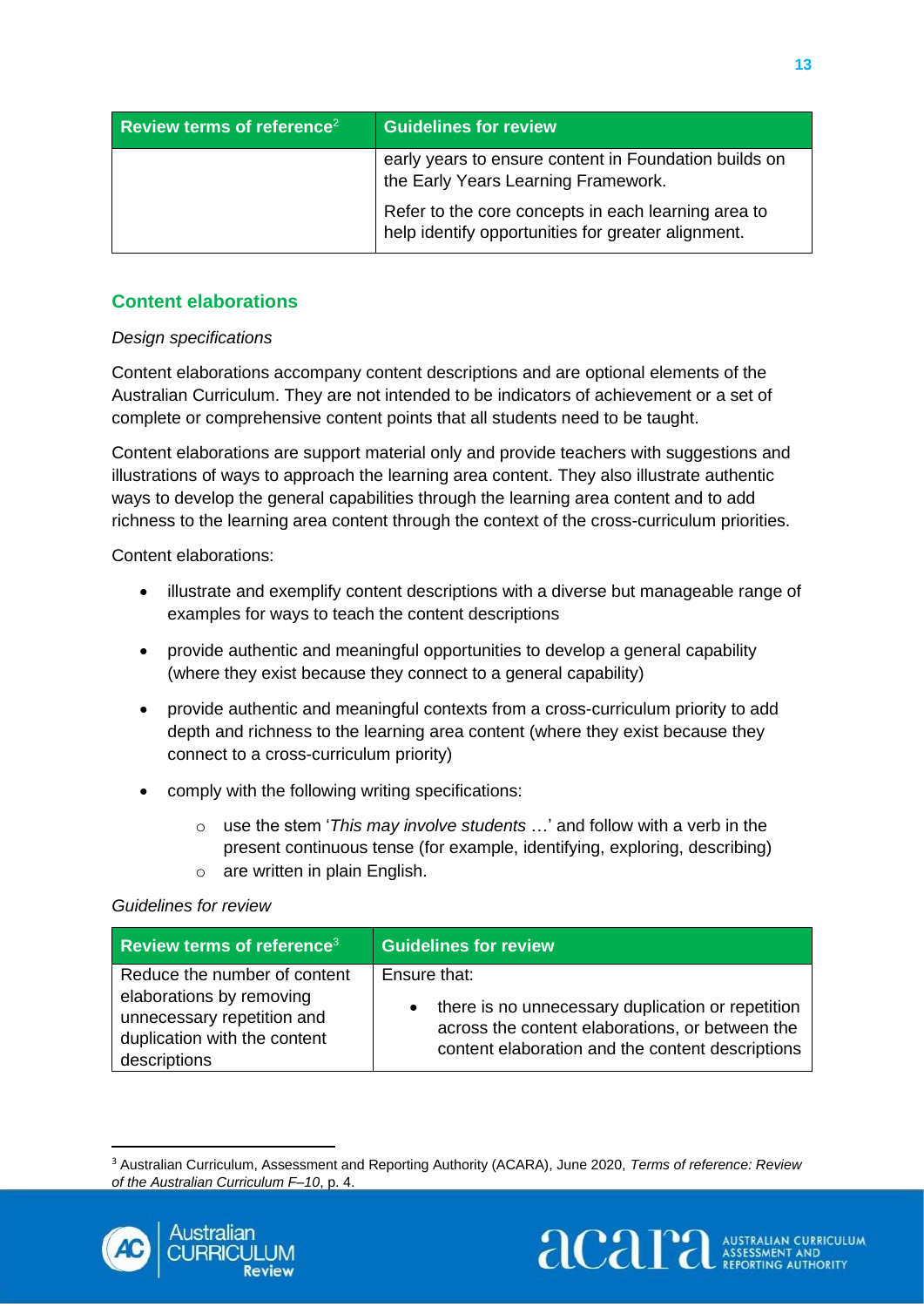| Review terms of reference <sup>2</sup> | <b>Guidelines for review</b>                                                                              |
|----------------------------------------|-----------------------------------------------------------------------------------------------------------|
|                                        | early years to ensure content in Foundation builds on<br>the Early Years Learning Framework.              |
|                                        | Refer to the core concepts in each learning area to<br>help identify opportunities for greater alignment. |

## <span id="page-16-0"></span>**Content elaborations**

#### *Design specifications*

Content elaborations accompany content descriptions and are optional elements of the Australian Curriculum. They are not intended to be indicators of achievement or a set of complete or comprehensive content points that all students need to be taught.

Content elaborations are support material only and provide teachers with suggestions and illustrations of ways to approach the learning area content. They also illustrate authentic ways to develop the general capabilities through the learning area content and to add richness to the learning area content through the context of the cross-curriculum priorities.

Content elaborations:

- illustrate and exemplify content descriptions with a diverse but manageable range of examples for ways to teach the content descriptions
- provide authentic and meaningful opportunities to develop a general capability (where they exist because they connect to a general capability)
- provide authentic and meaningful contexts from a cross-curriculum priority to add depth and richness to the learning area content (where they exist because they connect to a cross-curriculum priority)
- comply with the following writing specifications:
	- o use the stem '*This may involve students* …' and follow with a verb in the present continuous tense (for example, identifying, exploring, describing)
	- o are written in plain English.

#### *Guidelines for review*

| <b>Review terms of reference</b> $3$ | <b>Guidelines for review</b>                      |
|--------------------------------------|---------------------------------------------------|
| Reduce the number of content         | Ensure that:                                      |
| elaborations by removing             | there is no unnecessary duplication or repetition |
| unnecessary repetition and           | $\bullet$                                         |
| duplication with the content         | across the content elaborations, or between the   |
| descriptions                         | content elaboration and the content descriptions  |



<sup>3</sup> Australian Curriculum, Assessment and Reporting Authority (ACARA), June 2020, *Terms of reference: Review of the Australian Curriculum F–10*, p. 4.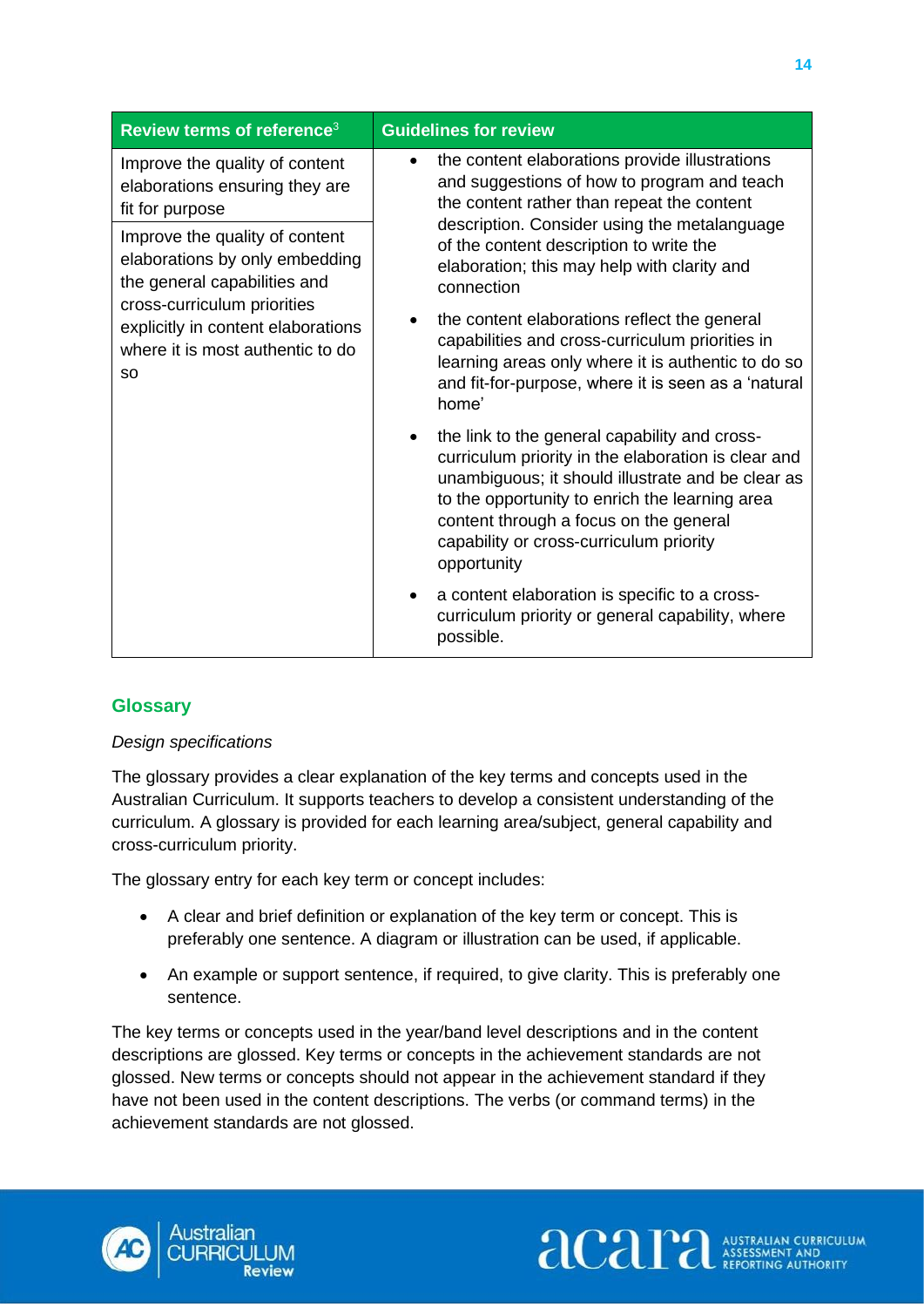| Review terms of reference <sup>3</sup>                                                                                                                                                                                 | <b>Guidelines for review</b>                                                                                                                                                                                                                                                                                                 |
|------------------------------------------------------------------------------------------------------------------------------------------------------------------------------------------------------------------------|------------------------------------------------------------------------------------------------------------------------------------------------------------------------------------------------------------------------------------------------------------------------------------------------------------------------------|
| Improve the quality of content<br>elaborations ensuring they are<br>fit for purpose                                                                                                                                    | the content elaborations provide illustrations<br>$\bullet$<br>and suggestions of how to program and teach<br>the content rather than repeat the content                                                                                                                                                                     |
| Improve the quality of content<br>elaborations by only embedding<br>the general capabilities and<br>cross-curriculum priorities<br>explicitly in content elaborations<br>where it is most authentic to do<br><b>SO</b> | description. Consider using the metalanguage<br>of the content description to write the<br>elaboration; this may help with clarity and<br>connection                                                                                                                                                                         |
|                                                                                                                                                                                                                        | the content elaborations reflect the general<br>capabilities and cross-curriculum priorities in<br>learning areas only where it is authentic to do so<br>and fit-for-purpose, where it is seen as a 'natural<br>home'                                                                                                        |
|                                                                                                                                                                                                                        | the link to the general capability and cross-<br>$\bullet$<br>curriculum priority in the elaboration is clear and<br>unambiguous; it should illustrate and be clear as<br>to the opportunity to enrich the learning area<br>content through a focus on the general<br>capability or cross-curriculum priority<br>opportunity |
|                                                                                                                                                                                                                        | a content elaboration is specific to a cross-<br>curriculum priority or general capability, where<br>possible.                                                                                                                                                                                                               |

## <span id="page-17-0"></span>**Glossary**

#### *Design specifications*

The glossary provides a clear explanation of the key terms and concepts used in the Australian Curriculum. It supports teachers to develop a consistent understanding of the curriculum. A glossary is provided for each learning area/subject, general capability and cross-curriculum priority.

The glossary entry for each key term or concept includes:

- A clear and brief definition or explanation of the key term or concept. This is preferably one sentence. A diagram or illustration can be used, if applicable.
- An example or support sentence, if required, to give clarity. This is preferably one sentence.

The key terms or concepts used in the year/band level descriptions and in the content descriptions are glossed. Key terms or concepts in the achievement standards are not glossed. New terms or concepts should not appear in the achievement standard if they have not been used in the content descriptions. The verbs (or command terms) in the achievement standards are not glossed.



**accuration** ASSESSMENT AND

**14**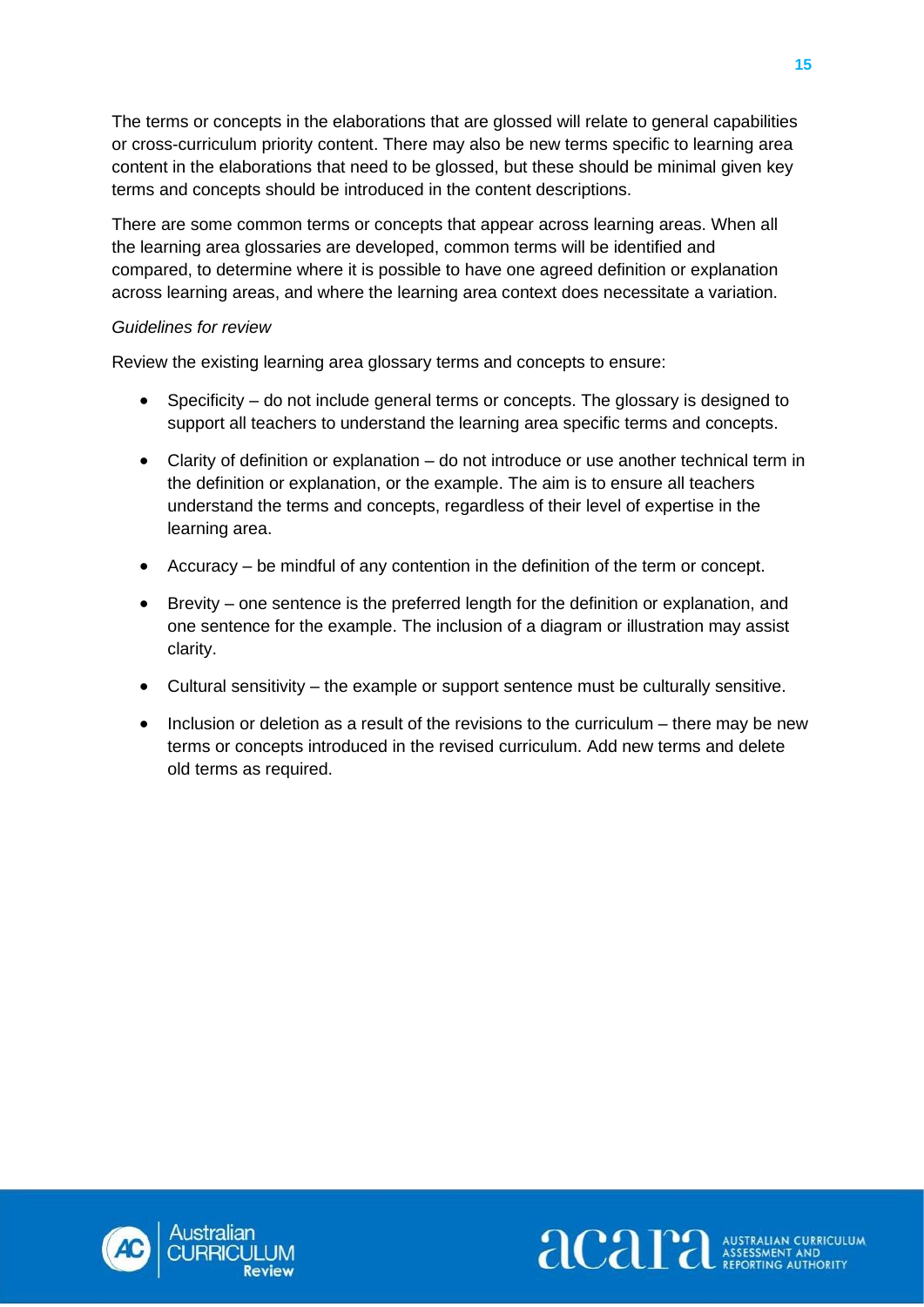The terms or concepts in the elaborations that are glossed will relate to general capabilities or cross-curriculum priority content. There may also be new terms specific to learning area content in the elaborations that need to be glossed, but these should be minimal given key terms and concepts should be introduced in the content descriptions.

There are some common terms or concepts that appear across learning areas. When all the learning area glossaries are developed, common terms will be identified and compared, to determine where it is possible to have one agreed definition or explanation across learning areas, and where the learning area context does necessitate a variation.

#### *Guidelines for review*

Review the existing learning area glossary terms and concepts to ensure:

- Specificity do not include general terms or concepts. The glossary is designed to support all teachers to understand the learning area specific terms and concepts.
- Clarity of definition or explanation do not introduce or use another technical term in the definition or explanation, or the example. The aim is to ensure all teachers understand the terms and concepts, regardless of their level of expertise in the learning area.
- Accuracy be mindful of any contention in the definition of the term or concept.
- Brevity one sentence is the preferred length for the definition or explanation, and one sentence for the example. The inclusion of a diagram or illustration may assist clarity.
- Cultural sensitivity the example or support sentence must be culturally sensitive.
- Inclusion or deletion as a result of the revisions to the curriculum there may be new terms or concepts introduced in the revised curriculum. Add new terms and delete old terms as required.



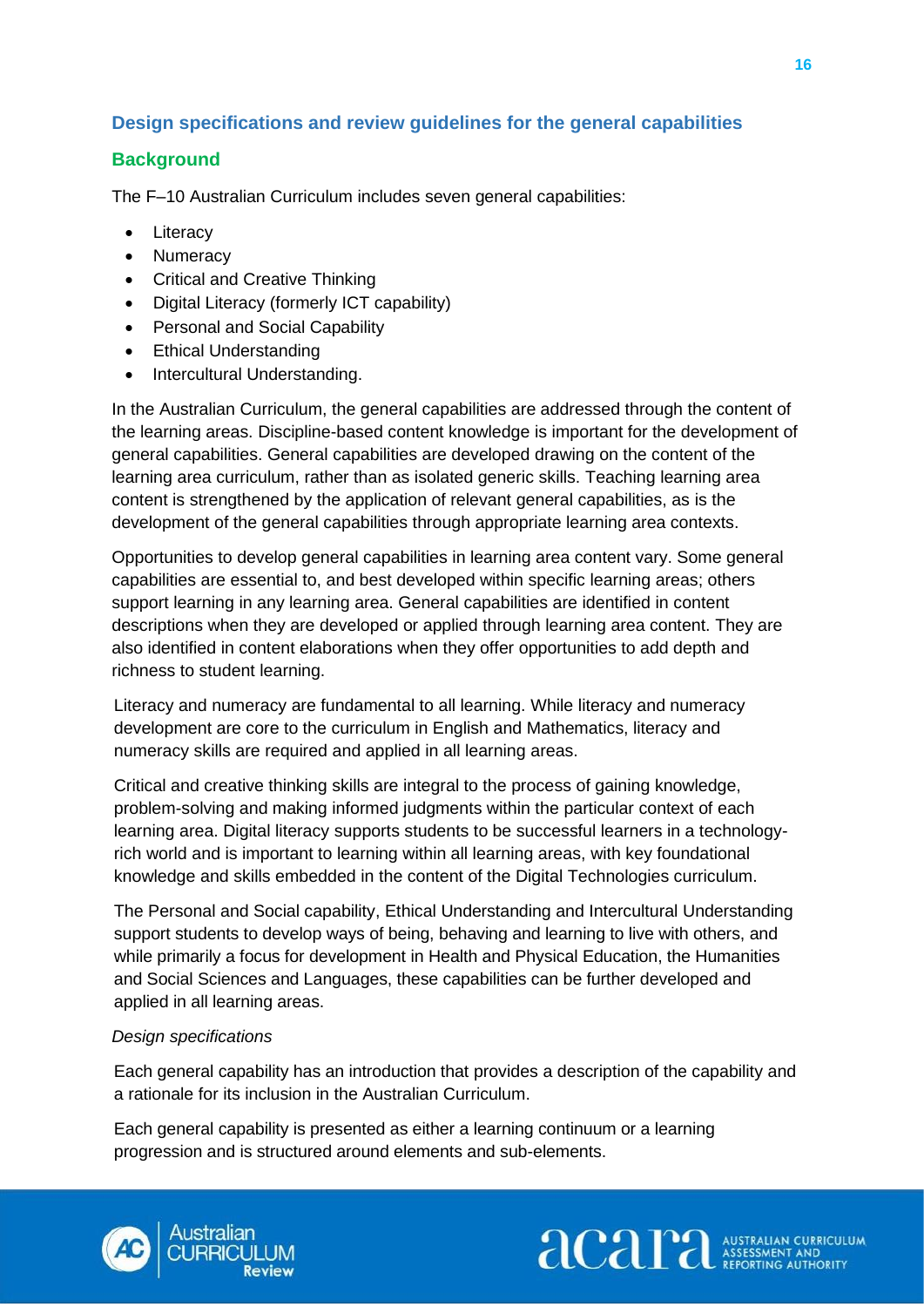## <span id="page-19-0"></span>**Design specifications and review guidelines for the general capabilities**

## **Background**

The F–10 Australian Curriculum includes seven general capabilities:

- Literacy
- Numeracy
- Critical and Creative Thinking
- Digital Literacy (formerly ICT capability)
- Personal and Social Capability
- Ethical Understanding
- Intercultural Understanding.

In the Australian Curriculum, the general capabilities are addressed through the content of the learning areas. Discipline-based content knowledge is important for the development of general capabilities. General capabilities are developed drawing on the content of the learning area curriculum, rather than as isolated generic skills. Teaching learning area content is strengthened by the application of relevant general capabilities, as is the development of the general capabilities through appropriate learning area contexts.

Opportunities to develop general capabilities in learning area content vary. Some general capabilities are essential to, and best developed within specific learning areas; others support learning in any learning area. General capabilities are identified in content descriptions when they are developed or applied through learning area content. They are also identified in content elaborations when they offer opportunities to add depth and richness to student learning.

Literacy and numeracy are fundamental to all learning. While literacy and numeracy development are core to the curriculum in English and Mathematics, literacy and numeracy skills are required and applied in all learning areas.

Critical and creative thinking skills are integral to the process of gaining knowledge, problem-solving and making informed judgments within the particular context of each learning area. Digital literacy supports students to be successful learners in a technologyrich world and is important to learning within all learning areas, with key foundational knowledge and skills embedded in the content of the Digital Technologies curriculum.

The Personal and Social capability, Ethical Understanding and Intercultural Understanding support students to develop ways of being, behaving and learning to live with others, and while primarily a focus for development in Health and Physical Education, the Humanities and Social Sciences and Languages, these capabilities can be further developed and applied in all learning areas.

#### *Design specifications*

Each general capability has an introduction that provides a description of the capability and a rationale for its inclusion in the Australian Curriculum.

Each general capability is presented as either a learning continuum or a learning progression and is structured around elements and sub-elements.



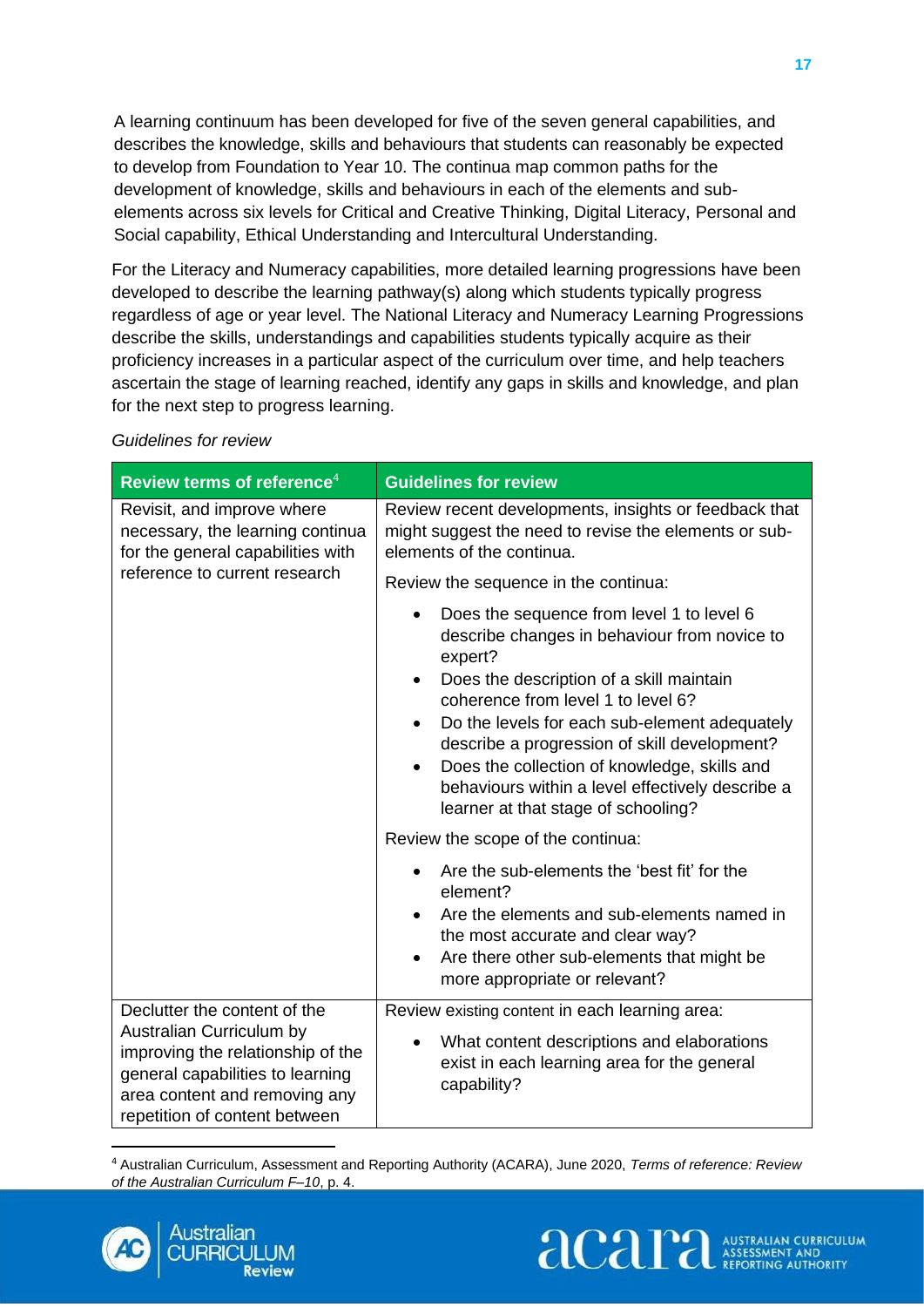A learning continuum has been developed for five of the seven general capabilities, and describes the knowledge, skills and behaviours that students can reasonably be expected to develop from Foundation to Year 10. The continua map common paths for the development of knowledge, skills and behaviours in each of the elements and subelements across six levels for Critical and Creative Thinking, Digital Literacy, Personal and Social capability, Ethical Understanding and Intercultural Understanding.

For the Literacy and Numeracy capabilities, more detailed learning progressions have been developed to describe the learning pathway(s) along which students typically progress regardless of age or year level. The National Literacy and Numeracy Learning Progressions describe the skills, understandings and capabilities students typically acquire as their proficiency increases in a particular aspect of the curriculum over time, and help teachers ascertain the stage of learning reached, identify any gaps in skills and knowledge, and plan for the next step to progress learning.

| Review terms of reference <sup>4</sup>                                                                                                                                                              | <b>Guidelines for review</b>                                                                                                                                                                                                                                                                                                                                                                                                                                                           |
|-----------------------------------------------------------------------------------------------------------------------------------------------------------------------------------------------------|----------------------------------------------------------------------------------------------------------------------------------------------------------------------------------------------------------------------------------------------------------------------------------------------------------------------------------------------------------------------------------------------------------------------------------------------------------------------------------------|
| Revisit, and improve where<br>necessary, the learning continua<br>for the general capabilities with<br>reference to current research                                                                | Review recent developments, insights or feedback that<br>might suggest the need to revise the elements or sub-<br>elements of the continua.                                                                                                                                                                                                                                                                                                                                            |
|                                                                                                                                                                                                     | Review the sequence in the continua:                                                                                                                                                                                                                                                                                                                                                                                                                                                   |
|                                                                                                                                                                                                     | Does the sequence from level 1 to level 6<br>$\bullet$<br>describe changes in behaviour from novice to<br>expert?<br>Does the description of a skill maintain<br>$\bullet$<br>coherence from level 1 to level 6?<br>Do the levels for each sub-element adequately<br>$\bullet$<br>describe a progression of skill development?<br>Does the collection of knowledge, skills and<br>$\bullet$<br>behaviours within a level effectively describe a<br>learner at that stage of schooling? |
|                                                                                                                                                                                                     | Review the scope of the continua:                                                                                                                                                                                                                                                                                                                                                                                                                                                      |
|                                                                                                                                                                                                     | Are the sub-elements the 'best fit' for the<br>element?<br>Are the elements and sub-elements named in<br>$\bullet$<br>the most accurate and clear way?<br>Are there other sub-elements that might be<br>$\bullet$<br>more appropriate or relevant?                                                                                                                                                                                                                                     |
| Declutter the content of the<br>Australian Curriculum by<br>improving the relationship of the<br>general capabilities to learning<br>area content and removing any<br>repetition of content between | Review existing content in each learning area:<br>What content descriptions and elaborations<br>٠<br>exist in each learning area for the general<br>capability?                                                                                                                                                                                                                                                                                                                        |

#### *Guidelines for review*

<sup>4</sup> Australian Curriculum, Assessment and Reporting Authority (ACARA), June 2020, *Terms of reference: Review of the Australian Curriculum F–10*, p. 4.



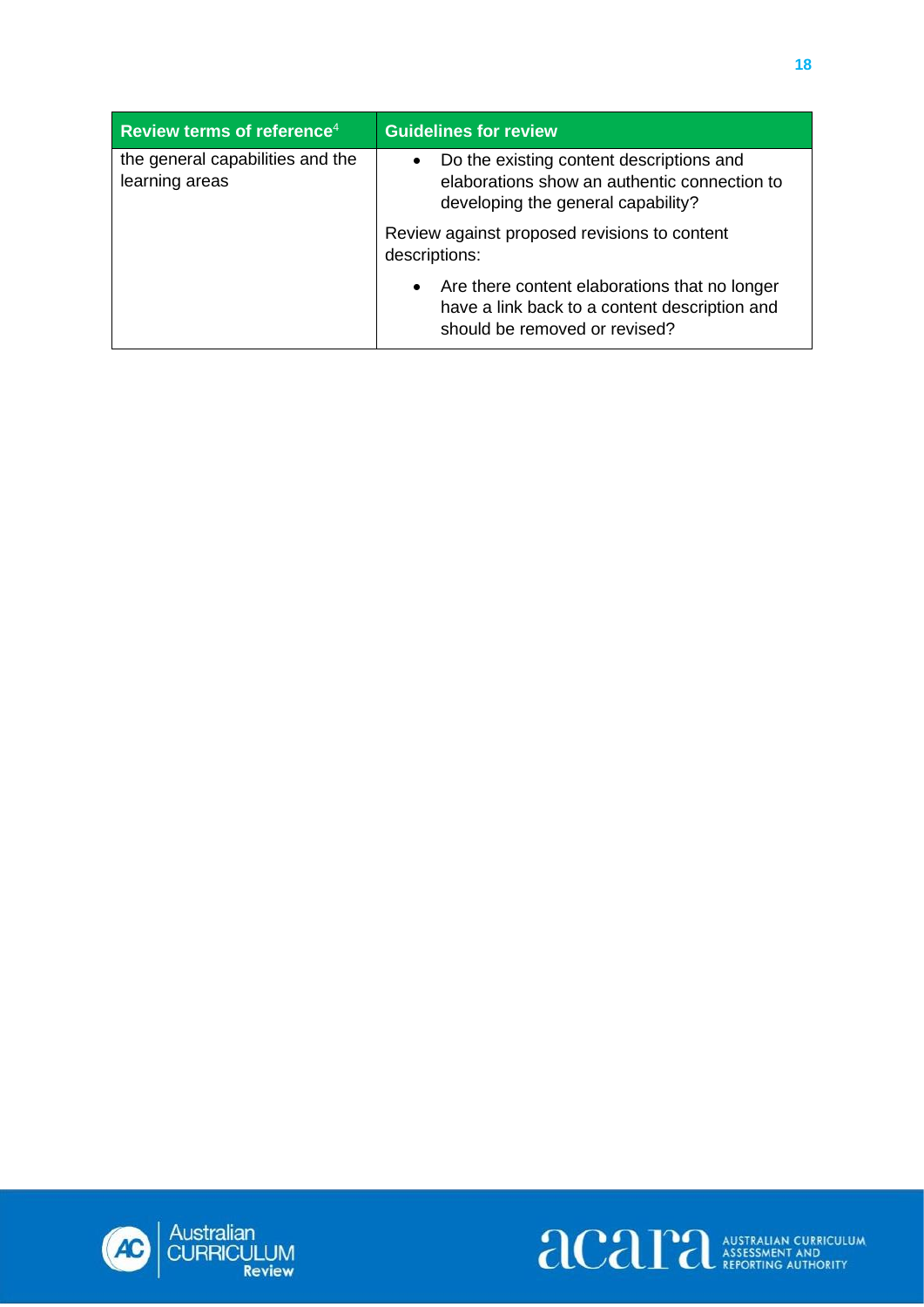| Review terms of reference <sup>4</sup>             | <b>Guidelines for review</b>                                                                                                                 |
|----------------------------------------------------|----------------------------------------------------------------------------------------------------------------------------------------------|
| the general capabilities and the<br>learning areas | Do the existing content descriptions and<br>$\bullet$<br>elaborations show an authentic connection to<br>developing the general capability?  |
|                                                    | Review against proposed revisions to content<br>descriptions:                                                                                |
|                                                    | Are there content elaborations that no longer<br>$\bullet$<br>have a link back to a content description and<br>should be removed or revised? |



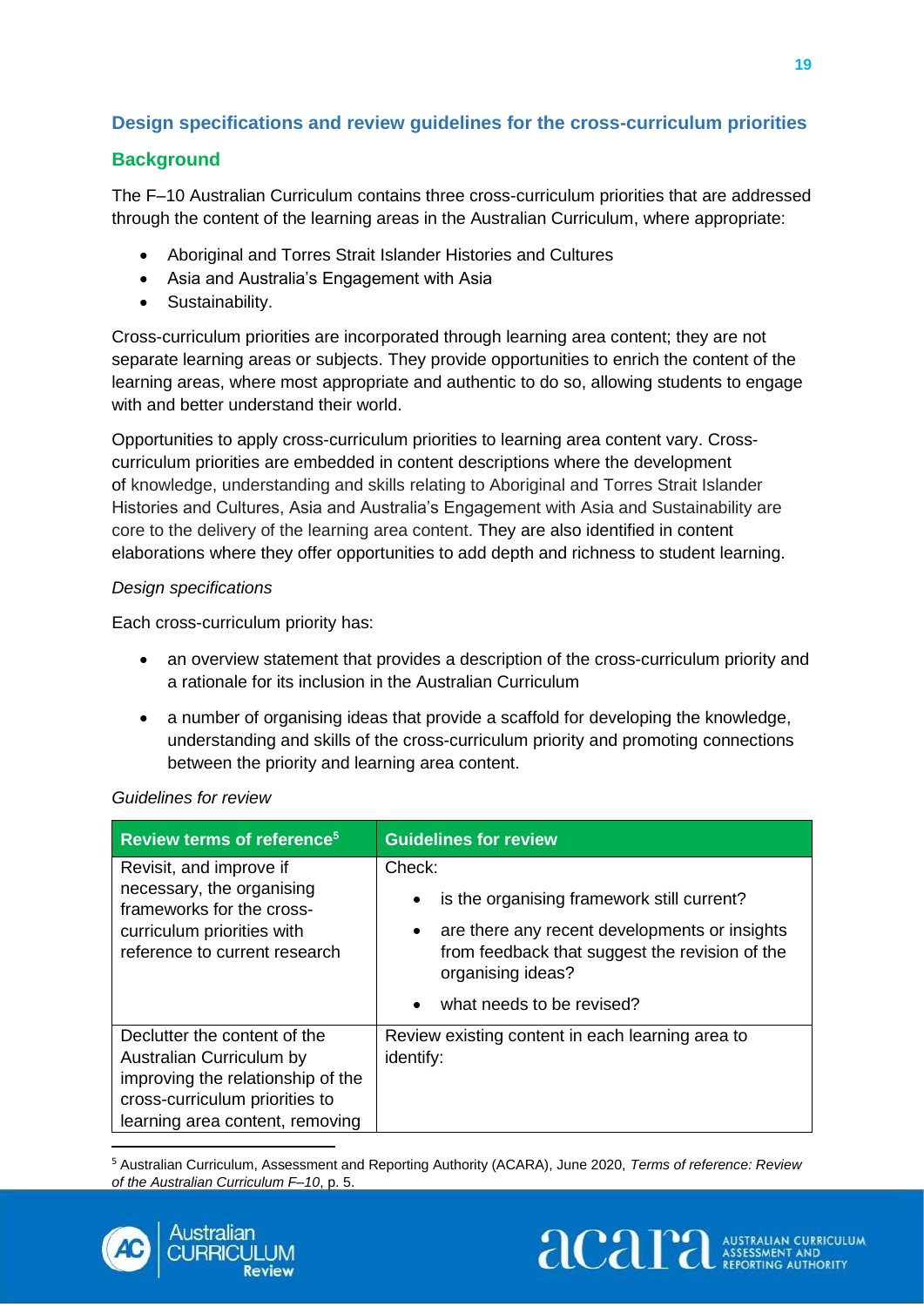## <span id="page-22-0"></span>**Design specifications and review guidelines for the cross-curriculum priorities**

## **Background**

The F–10 Australian Curriculum contains three cross-curriculum priorities that are addressed through the content of the learning areas in the Australian Curriculum, where appropriate:

- Aboriginal and Torres Strait Islander Histories and Cultures
- Asia and Australia's Engagement with Asia
- Sustainability.

Cross-curriculum priorities are incorporated through learning area content; they are not separate learning areas or subjects. They provide opportunities to enrich the content of the learning areas, where most appropriate and authentic to do so, allowing students to engage with and better understand their world.

Opportunities to apply cross-curriculum priorities to learning area content vary. Crosscurriculum priorities are embedded in content descriptions where the development of knowledge, understanding and skills relating to Aboriginal and Torres Strait Islander Histories and Cultures, Asia and Australia's Engagement with Asia and Sustainability are core to the delivery of the learning area content. They are also identified in content elaborations where they offer opportunities to add depth and richness to student learning.

#### *Design specifications*

Each cross-curriculum priority has:

- an overview statement that provides a description of the cross-curriculum priority and a rationale for its inclusion in the Australian Curriculum
- a number of organising ideas that provide a scaffold for developing the knowledge, understanding and skills of the cross-curriculum priority and promoting connections between the priority and learning area content.

| Review terms of reference <sup>5</sup>                                                                                                                             | <b>Guidelines for review</b>                                                                                                                                                                                                             |
|--------------------------------------------------------------------------------------------------------------------------------------------------------------------|------------------------------------------------------------------------------------------------------------------------------------------------------------------------------------------------------------------------------------------|
| Revisit, and improve if<br>necessary, the organising<br>frameworks for the cross-<br>curriculum priorities with<br>reference to current research                   | Check:<br>is the organising framework still current?<br>$\bullet$<br>are there any recent developments or insights<br>٠<br>from feedback that suggest the revision of the<br>organising ideas?<br>what needs to be revised?<br>$\bullet$ |
| Declutter the content of the<br>Australian Curriculum by<br>improving the relationship of the<br>cross-curriculum priorities to<br>learning area content, removing | Review existing content in each learning area to<br>identify:                                                                                                                                                                            |

<sup>5</sup> Australian Curriculum, Assessment and Reporting Authority (ACARA), June 2020, *Terms of reference: Review of the Australian Curriculum F–10*, p. 5.



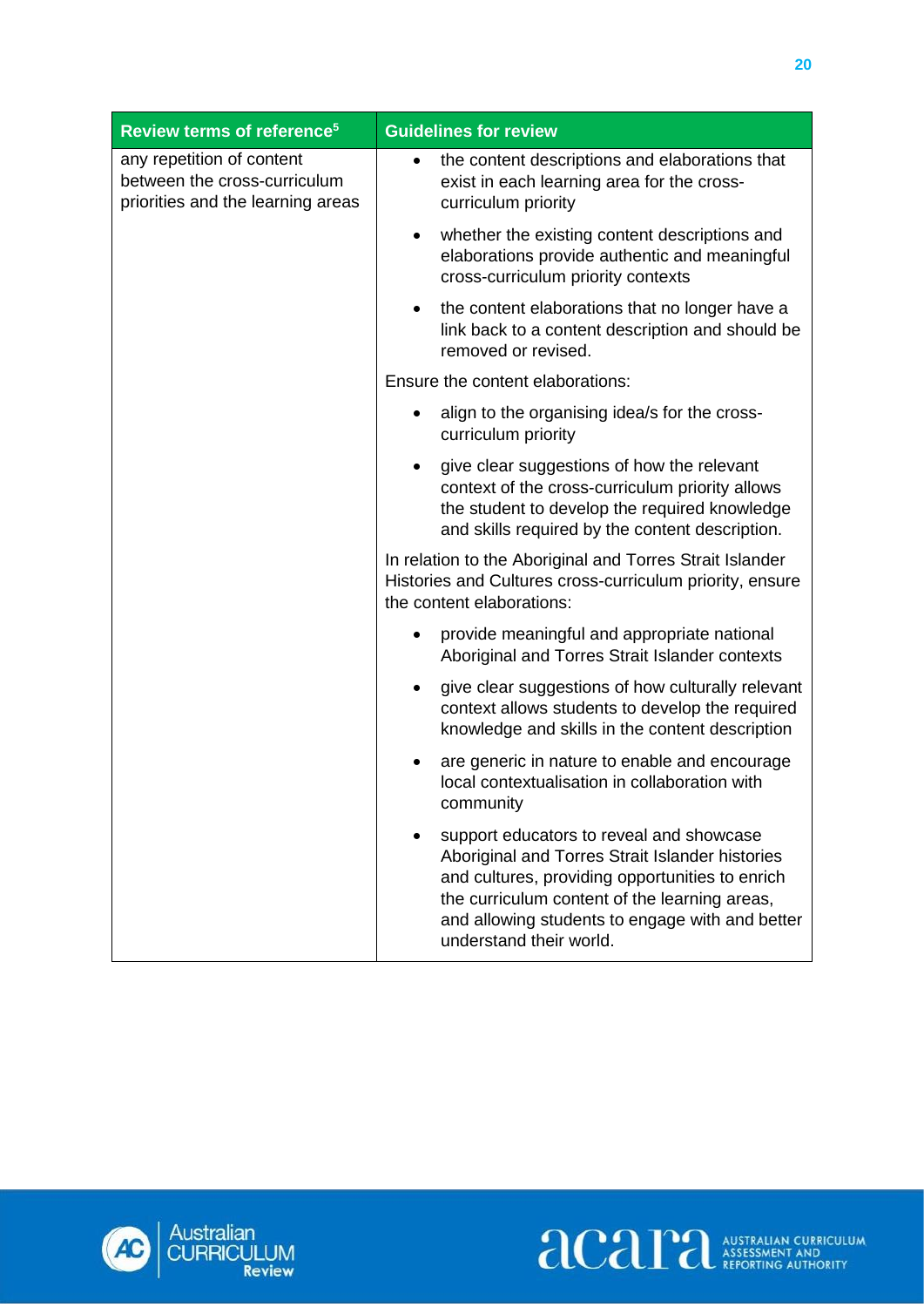| Review terms of reference <sup>5</sup>                                                         | <b>Guidelines for review</b>                                                                                                                                                                                                                                                  |
|------------------------------------------------------------------------------------------------|-------------------------------------------------------------------------------------------------------------------------------------------------------------------------------------------------------------------------------------------------------------------------------|
| any repetition of content<br>between the cross-curriculum<br>priorities and the learning areas | the content descriptions and elaborations that<br>٠<br>exist in each learning area for the cross-<br>curriculum priority                                                                                                                                                      |
|                                                                                                | whether the existing content descriptions and<br>$\bullet$<br>elaborations provide authentic and meaningful<br>cross-curriculum priority contexts                                                                                                                             |
|                                                                                                | the content elaborations that no longer have a<br>٠<br>link back to a content description and should be<br>removed or revised.                                                                                                                                                |
|                                                                                                | Ensure the content elaborations:                                                                                                                                                                                                                                              |
|                                                                                                | align to the organising idea/s for the cross-<br>curriculum priority                                                                                                                                                                                                          |
|                                                                                                | give clear suggestions of how the relevant<br>context of the cross-curriculum priority allows<br>the student to develop the required knowledge<br>and skills required by the content description.                                                                             |
|                                                                                                | In relation to the Aboriginal and Torres Strait Islander<br>Histories and Cultures cross-curriculum priority, ensure<br>the content elaborations:                                                                                                                             |
|                                                                                                | provide meaningful and appropriate national<br>Aboriginal and Torres Strait Islander contexts                                                                                                                                                                                 |
|                                                                                                | give clear suggestions of how culturally relevant<br>$\bullet$<br>context allows students to develop the required<br>knowledge and skills in the content description                                                                                                          |
|                                                                                                | are generic in nature to enable and encourage<br>$\bullet$<br>local contextualisation in collaboration with<br>community                                                                                                                                                      |
|                                                                                                | support educators to reveal and showcase<br>Aboriginal and Torres Strait Islander histories<br>and cultures, providing opportunities to enrich<br>the curriculum content of the learning areas,<br>and allowing students to engage with and better<br>understand their world. |



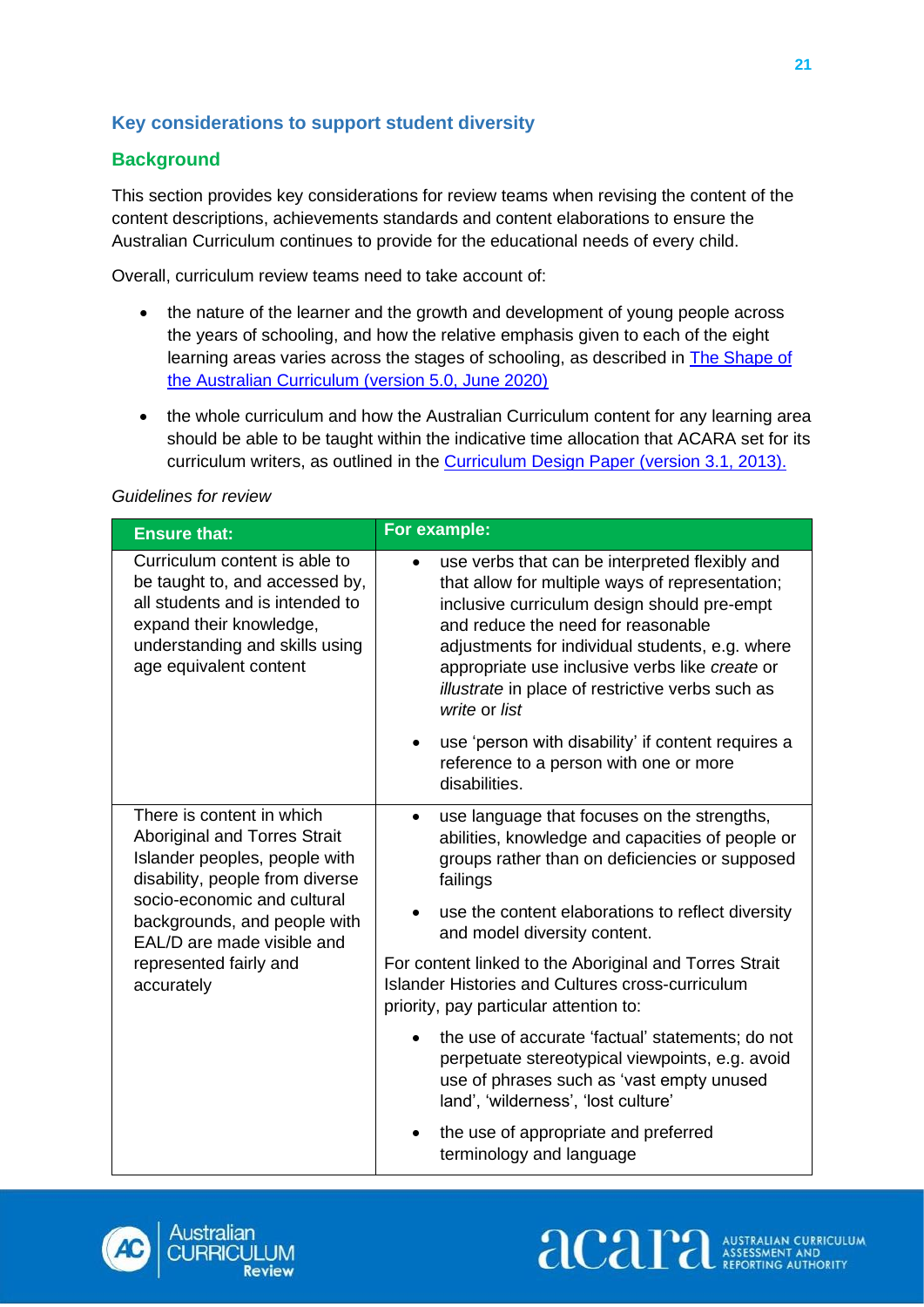## <span id="page-24-0"></span>**Key considerations to support student diversity**

## **Background**

This section provides key considerations for review teams when revising the content of the content descriptions, achievements standards and content elaborations to ensure the Australian Curriculum continues to provide for the educational needs of every child.

Overall, curriculum review teams need to take account of:

- the nature of the learner and the growth and development of young people across the years of schooling, and how the relative emphasis given to each of the eight learning areas varies across the stages of schooling, as described in **The Shape of** [the Australian Curriculum \(version 5.0, June 2020\)](https://www.acara.edu.au/docs/default-source/curriculum/the_shape_of_the_australian_curriculum_version5_for-website.pdf)
- the whole curriculum and how the Australian Curriculum content for any learning area should be able to be taught within the indicative time allocation that ACARA set for its curriculum writers, as outlined in the [Curriculum Design Paper \(version 3.1, 2013\).](https://docs.acara.edu.au/resources/07_04_Curriculum_Design_Paper_version_3_1_June_2012.pdf)

#### *Guidelines for review*

| <b>Ensure that:</b>                                                                                                                                                                                                                                                       | For example:                                                                                                                                                                                                                                                                                                                                                                  |
|---------------------------------------------------------------------------------------------------------------------------------------------------------------------------------------------------------------------------------------------------------------------------|-------------------------------------------------------------------------------------------------------------------------------------------------------------------------------------------------------------------------------------------------------------------------------------------------------------------------------------------------------------------------------|
| Curriculum content is able to<br>be taught to, and accessed by,<br>all students and is intended to<br>expand their knowledge,<br>understanding and skills using<br>age equivalent content                                                                                 | use verbs that can be interpreted flexibly and<br>$\bullet$<br>that allow for multiple ways of representation;<br>inclusive curriculum design should pre-empt<br>and reduce the need for reasonable<br>adjustments for individual students, e.g. where<br>appropriate use inclusive verbs like create or<br>illustrate in place of restrictive verbs such as<br>write or list |
|                                                                                                                                                                                                                                                                           | use 'person with disability' if content requires a<br>$\bullet$<br>reference to a person with one or more<br>disabilities.                                                                                                                                                                                                                                                    |
| There is content in which<br><b>Aboriginal and Torres Strait</b><br>Islander peoples, people with<br>disability, people from diverse<br>socio-economic and cultural<br>backgrounds, and people with<br>EAL/D are made visible and<br>represented fairly and<br>accurately | use language that focuses on the strengths,<br>$\bullet$<br>abilities, knowledge and capacities of people or<br>groups rather than on deficiencies or supposed<br>failings                                                                                                                                                                                                    |
|                                                                                                                                                                                                                                                                           | use the content elaborations to reflect diversity<br>and model diversity content.                                                                                                                                                                                                                                                                                             |
|                                                                                                                                                                                                                                                                           | For content linked to the Aboriginal and Torres Strait<br>Islander Histories and Cultures cross-curriculum<br>priority, pay particular attention to:                                                                                                                                                                                                                          |
|                                                                                                                                                                                                                                                                           | the use of accurate 'factual' statements; do not<br>perpetuate stereotypical viewpoints, e.g. avoid<br>use of phrases such as 'vast empty unused<br>land', 'wilderness', 'lost culture'                                                                                                                                                                                       |
|                                                                                                                                                                                                                                                                           | the use of appropriate and preferred<br>terminology and language                                                                                                                                                                                                                                                                                                              |